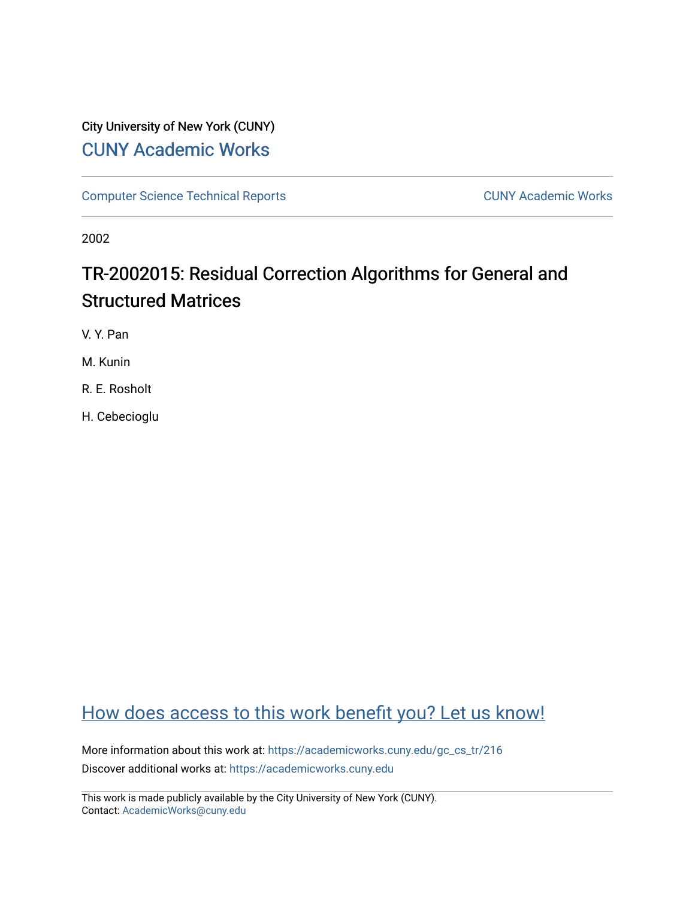# City University of New York (CUNY) [CUNY Academic Works](https://academicworks.cuny.edu/)

[Computer Science Technical Reports](https://academicworks.cuny.edu/gc_cs_tr) **CUNY Academic Works** CUNY Academic Works

2002

# TR-2002015: Residual Correction Algorithms for General and Structured Matrices

V. Y. Pan

M. Kunin

R. E. Rosholt

H. Cebecioglu

# [How does access to this work benefit you? Let us know!](http://ols.cuny.edu/academicworks/?ref=https://academicworks.cuny.edu/gc_cs_tr/216)

More information about this work at: [https://academicworks.cuny.edu/gc\\_cs\\_tr/216](https://academicworks.cuny.edu/gc_cs_tr/216)  Discover additional works at: [https://academicworks.cuny.edu](https://academicworks.cuny.edu/?)

This work is made publicly available by the City University of New York (CUNY). Contact: [AcademicWorks@cuny.edu](mailto:AcademicWorks@cuny.edu)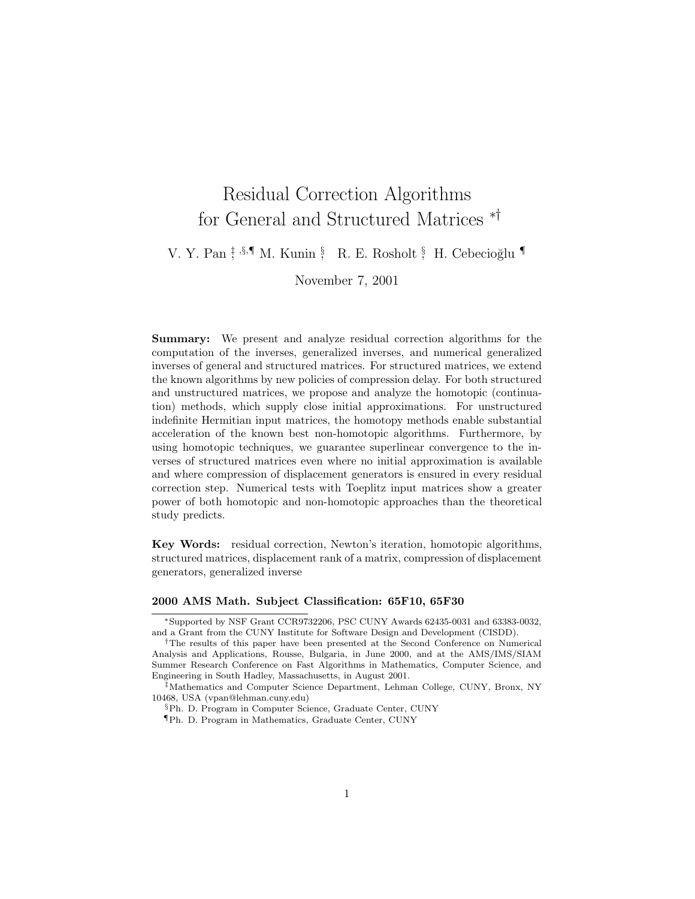# Residual Correction Algorithms for General and Structured Matrices ∗†

V. Y. Pan <sup>†</sup>, <sup>§</sup>, ¶ M. Kunin <sup>§</sup>, R. E. Rosholt <sup>§</sup>, H. Cebecioğlu ¶

November 7, 2001

**Summary:** We present and analyze residual correction algorithms for the computation of the inverses, generalized inverses, and numerical generalized inverses of general and structured matrices. For structured matrices, we extend the known algorithms by new policies of compression delay. For both structured and unstructured matrices, we propose and analyze the homotopic (continuation) methods, which supply close initial approximations. For unstructured indefinite Hermitian input matrices, the homotopy methods enable substantial acceleration of the known best non-homotopic algorithms. Furthermore, by using homotopic techniques, we guarantee superlinear convergence to the inverses of structured matrices even where no initial approximation is available and where compression of displacement generators is ensured in every residual correction step. Numerical tests with Toeplitz input matrices show a greater power of both homotopic and non-homotopic approaches than the theoretical study predicts.

**Key Words:** residual correction, Newton's iteration, homotopic algorithms, structured matrices, displacement rank of a matrix, compression of displacement generators, generalized inverse

#### **2000 AMS Math. Subject Classification: 65F10, 65F30**

<sup>∗</sup>Supported by NSF Grant CCR9732206, PSC CUNY Awards 62435-0031 and 63383-0032, and a Grant from the CUNY Institute for Software Design and Development (CISDD).

<sup>†</sup>The results of this paper have been presented at the Second Conference on Numerical Analysis and Applications, Rousse, Bulgaria, in June 2000, and at the AMS/IMS/SIAM Summer Research Conference on Fast Algorithms in Mathematics, Computer Science, and Engineering in South Hadley, Massachusetts, in August 2001.

<sup>‡</sup>Mathematics and Computer Science Department, Lehman College, CUNY, Bronx, NY 10468, USA (vpan@lehman.cuny.edu)

<sup>§</sup>Ph. D. Program in Computer Science, Graduate Center, CUNY

<sup>¶</sup>Ph. D. Program in Mathematics, Graduate Center, CUNY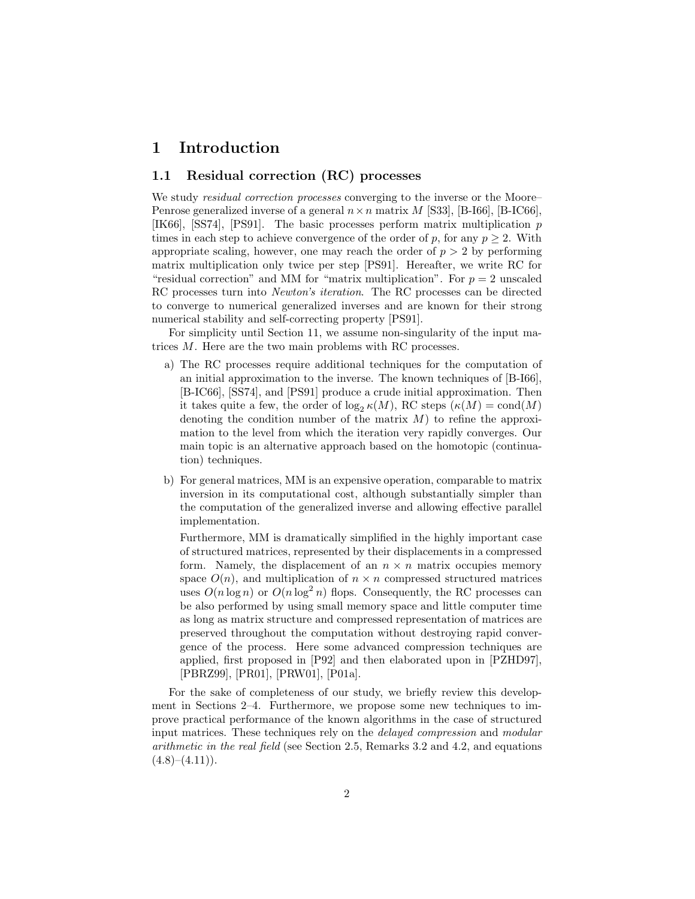### **1 Introduction**

#### **1.1 Residual correction (RC) processes**

We study *residual correction processes* converging to the inverse or the Moore– Penrose generalized inverse of a general  $n \times n$  matrix M [S33], [B-I66], [B-IC66], [IK66], [SS74], [PS91]. The basic processes perform matrix multiplication p times in each step to achieve convergence of the order of p, for any  $p \geq 2$ . With appropriate scaling, however, one may reach the order of  $p > 2$  by performing matrix multiplication only twice per step [PS91]. Hereafter, we write RC for "residual correction" and MM for "matrix multiplication". For  $p = 2$  unscaled RC processes turn into *Newton's iteration*. The RC processes can be directed to converge to numerical generalized inverses and are known for their strong numerical stability and self-correcting property [PS91].

For simplicity until Section 11, we assume non-singularity of the input matrices M. Here are the two main problems with RC processes.

- a) The RC processes require additional techniques for the computation of an initial approximation to the inverse. The known techniques of [B-I66], [B-IC66], [SS74], and [PS91] produce a crude initial approximation. Then it takes quite a few, the order of  $\log_2 \kappa(M)$ , RC steps  $(\kappa(M) = \text{cond}(M))$ denoting the condition number of the matrix  $M$ ) to refine the approximation to the level from which the iteration very rapidly converges. Our main topic is an alternative approach based on the homotopic (continuation) techniques.
- b) For general matrices, MM is an expensive operation, comparable to matrix inversion in its computational cost, although substantially simpler than the computation of the generalized inverse and allowing effective parallel implementation.

Furthermore, MM is dramatically simplified in the highly important case of structured matrices, represented by their displacements in a compressed form. Namely, the displacement of an  $n \times n$  matrix occupies memory space  $O(n)$ , and multiplication of  $n \times n$  compressed structured matrices uses  $O(n \log n)$  or  $O(n \log^2 n)$  flops. Consequently, the RC processes can be also performed by using small memory space and little computer time as long as matrix structure and compressed representation of matrices are preserved throughout the computation without destroying rapid convergence of the process. Here some advanced compression techniques are applied, first proposed in [P92] and then elaborated upon in [PZHD97], [PBRZ99], [PR01], [PRW01], [P01a].

For the sake of completeness of our study, we briefly review this development in Sections 2–4. Furthermore, we propose some new techniques to improve practical performance of the known algorithms in the case of structured input matrices. These techniques rely on the *delayed compression* and *modular arithmetic in the real field* (see Section 2.5, Remarks 3.2 and 4.2, and equations  $(4.8)–(4.11)$ .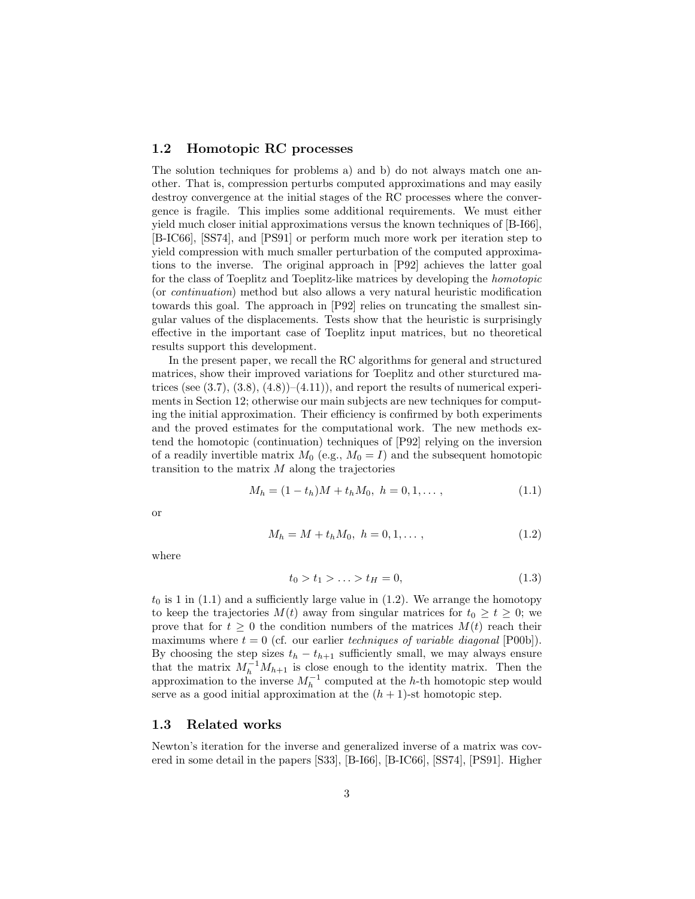#### **1.2 Homotopic RC processes**

The solution techniques for problems a) and b) do not always match one another. That is, compression perturbs computed approximations and may easily destroy convergence at the initial stages of the RC processes where the convergence is fragile. This implies some additional requirements. We must either yield much closer initial approximations versus the known techniques of [B-I66], [B-IC66], [SS74], and [PS91] or perform much more work per iteration step to yield compression with much smaller perturbation of the computed approximations to the inverse. The original approach in [P92] achieves the latter goal for the class of Toeplitz and Toeplitz-like matrices by developing the *homotopic* (or *continuation*) method but also allows a very natural heuristic modification towards this goal. The approach in [P92] relies on truncating the smallest singular values of the displacements. Tests show that the heuristic is surprisingly effective in the important case of Toeplitz input matrices, but no theoretical results support this development.

In the present paper, we recall the RC algorithms for general and structured matrices, show their improved variations for Toeplitz and other sturctured matrices (see  $(3.7), (3.8), (4.8))$ – $(4.11)$ ), and report the results of numerical experiments in Section 12; otherwise our main subjects are new techniques for computing the initial approximation. Their efficiency is confirmed by both experiments and the proved estimates for the computational work. The new methods extend the homotopic (continuation) techniques of [P92] relying on the inversion of a readily invertible matrix  $M_0$  (e.g.,  $M_0 = I$ ) and the subsequent homotopic transition to the matrix  $M$  along the trajectories

$$
M_h = (1 - t_h)M + t_h M_0, \ h = 0, 1, \dots,
$$
\n(1.1)

or

$$
M_h = M + t_h M_0, \ h = 0, 1, \dots,
$$
\n(1.2)

where

$$
t_0 > t_1 > \ldots > t_H = 0,
$$
\n(1.3)

 $t_0$  is 1 in (1.1) and a sufficiently large value in (1.2). We arrange the homotopy to keep the trajectories  $M(t)$  away from singular matrices for  $t_0 \geq t \geq 0$ ; we prove that for  $t \geq 0$  the condition numbers of the matrices  $M(t)$  reach their maximums where  $t = 0$  (cf. our earlier *techniques of variable diagonal* [P00b]). By choosing the step sizes  $t_h - t_{h+1}$  sufficiently small, we may always ensure that the matrix  $M_h^{-1}M_{h+1}$  is close enough to the identity matrix. Then the approximation to the inverse  $M_h^{-1}$  computed at the h-th homotopic step would serve as a good initial approximation at the  $(h + 1)$ -st homotopic step.

#### **1.3 Related works**

Newton's iteration for the inverse and generalized inverse of a matrix was covered in some detail in the papers [S33], [B-I66], [B-IC66], [SS74], [PS91]. Higher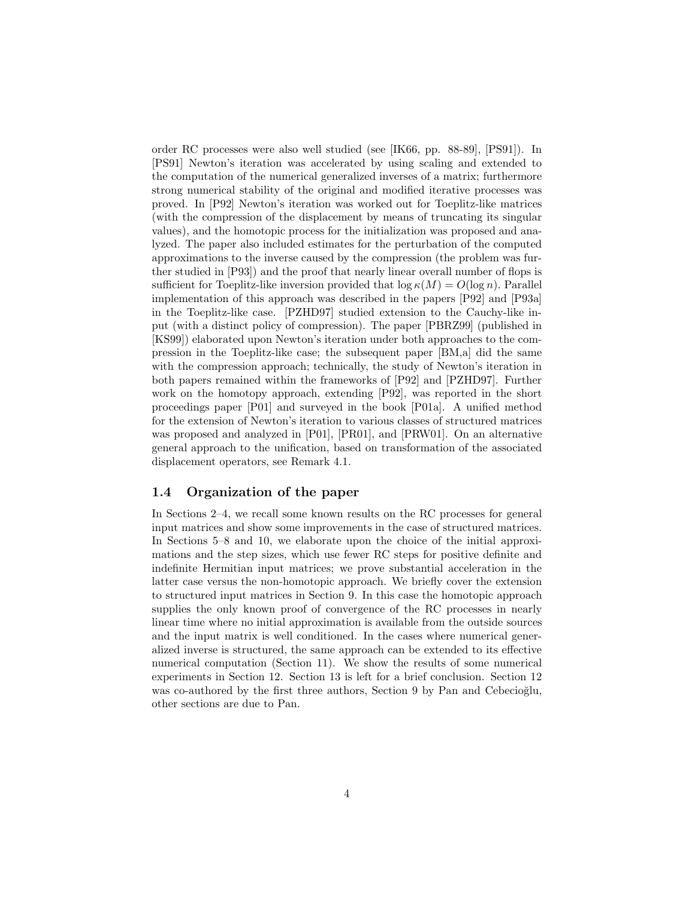order RC processes were also well studied (see [IK66, pp. 88-89], [PS91]). In [PS91] Newton's iteration was accelerated by using scaling and extended to the computation of the numerical generalized inverses of a matrix; furthermore strong numerical stability of the original and modified iterative processes was proved. In [P92] Newton's iteration was worked out for Toeplitz-like matrices (with the compression of the displacement by means of truncating its singular values), and the homotopic process for the initialization was proposed and analyzed. The paper also included estimates for the perturbation of the computed approximations to the inverse caused by the compression (the problem was further studied in [P93]) and the proof that nearly linear overall number of flops is sufficient for Toeplitz-like inversion provided that  $\log \kappa(M) = O(\log n)$ . Parallel implementation of this approach was described in the papers [P92] and [P93a] in the Toeplitz-like case. [PZHD97] studied extension to the Cauchy-like input (with a distinct policy of compression). The paper [PBRZ99] (published in [KS99]) elaborated upon Newton's iteration under both approaches to the compression in the Toeplitz-like case; the subsequent paper [BM,a] did the same with the compression approach; technically, the study of Newton's iteration in both papers remained within the frameworks of [P92] and [PZHD97]. Further work on the homotopy approach, extending [P92], was reported in the short proceedings paper [P01] and surveyed in the book [P01a]. A unified method for the extension of Newton's iteration to various classes of structured matrices was proposed and analyzed in [P01], [PR01], and [PRW01]. On an alternative general approach to the unification, based on transformation of the associated displacement operators, see Remark 4.1.

#### **1.4 Organization of the paper**

In Sections 2–4, we recall some known results on the RC processes for general input matrices and show some improvements in the case of structured matrices. In Sections 5–8 and 10, we elaborate upon the choice of the initial approximations and the step sizes, which use fewer RC steps for positive definite and indefinite Hermitian input matrices; we prove substantial acceleration in the latter case versus the non-homotopic approach. We briefly cover the extension to structured input matrices in Section 9. In this case the homotopic approach supplies the only known proof of convergence of the RC processes in nearly linear time where no initial approximation is available from the outside sources and the input matrix is well conditioned. In the cases where numerical generalized inverse is structured, the same approach can be extended to its effective numerical computation (Section 11). We show the results of some numerical experiments in Section 12. Section 13 is left for a brief conclusion. Section 12 was co-authored by the first three authors, Section 9 by Pan and Cebecioğlu, other sections are due to Pan.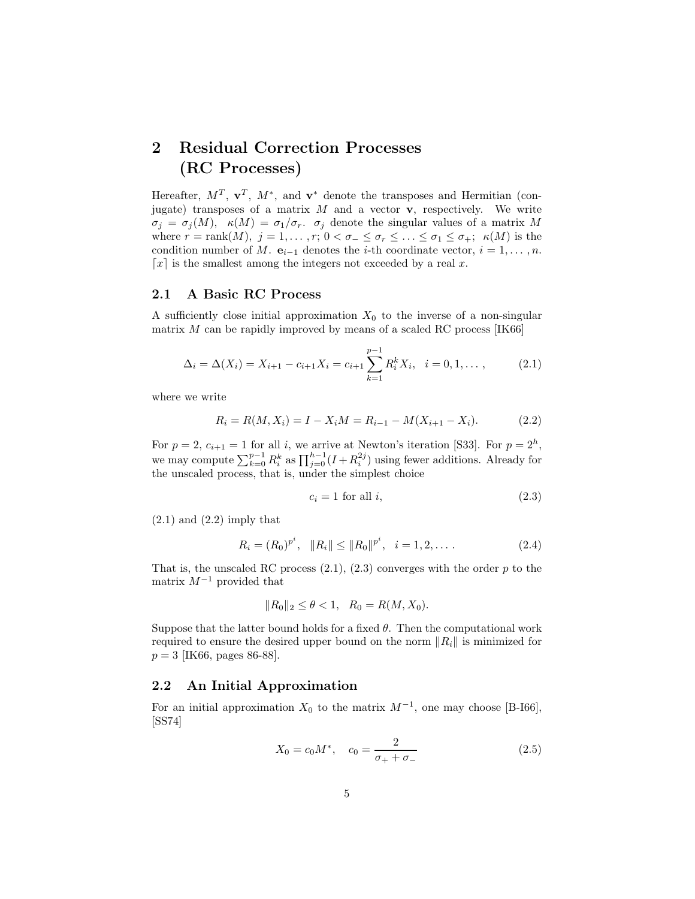## **2 Residual Correction Processes (RC Processes)**

Hereafter,  $M^T$ ,  $\mathbf{v}^T$ ,  $M^*$ , and  $\mathbf{v}^*$  denote the transposes and Hermitian (conjugate) transposes of a matrix M and a vector **v**, respectively. We write  $\sigma_j = \sigma_j(M)$ ,  $\kappa(M) = \sigma_1/\sigma_r$ .  $\sigma_j$  denote the singular values of a matrix M where  $r = \text{rank}(M)$ ,  $j = 1, ..., r$ ;  $0 < \sigma_{-} \leq \sigma_{r} \leq ... \leq \sigma_{1} \leq \sigma_{+}$ ;  $\kappa(M)$  is the condition number of M.  $e_{i-1}$  denotes the *i*-th coordinate vector,  $i = 1, \ldots, n$ .  $\lceil x \rceil$  is the smallest among the integers not exceeded by a real x.

#### **2.1 A Basic RC Process**

A sufficiently close initial approximation  $X_0$  to the inverse of a non-singular matrix  $M$  can be rapidly improved by means of a scaled RC process [IK66]

$$
\Delta_i = \Delta(X_i) = X_{i+1} - c_{i+1}X_i = c_{i+1} \sum_{k=1}^{p-1} R_i^k X_i, \quad i = 0, 1, \dots, \tag{2.1}
$$

where we write

$$
R_i = R(M, X_i) = I - X_i M = R_{i-1} - M(X_{i+1} - X_i). \tag{2.2}
$$

For  $p = 2$ ,  $c_{i+1} = 1$  for all i, we arrive at Newton's iteration [S33]. For  $p = 2<sup>h</sup>$ , we may compute  $\sum_{k=0}^{p-1} R_i^k$  as  $\prod_{j=0}^{h-1} (I + R_i^{2j})$  using fewer additions. Already for the unscaled process, that is, under the simplest choice

$$
c_i = 1 \text{ for all } i,\tag{2.3}
$$

 $(2.1)$  and  $(2.2)$  imply that

$$
R_i = (R_0)^{p^i}, \quad ||R_i|| \le ||R_0||^{p^i}, \quad i = 1, 2, \dots
$$
 (2.4)

That is, the unscaled RC process  $(2.1)$ ,  $(2.3)$  converges with the order p to the matrix  $M^{-1}$  provided that

$$
||R_0||_2 \le \theta < 1, \quad R_0 = R(M, X_0).
$$

Suppose that the latter bound holds for a fixed  $\theta$ . Then the computational work required to ensure the desired upper bound on the norm  $||R_i||$  is minimized for  $p = 3$  [IK66, pages 86-88].

#### **2.2 An Initial Approximation**

For an initial approximation  $X_0$  to the matrix  $M^{-1}$ , one may choose [B-I66], [SS74]

$$
X_0 = c_0 M^*, \quad c_0 = \frac{2}{\sigma_+ + \sigma_-} \tag{2.5}
$$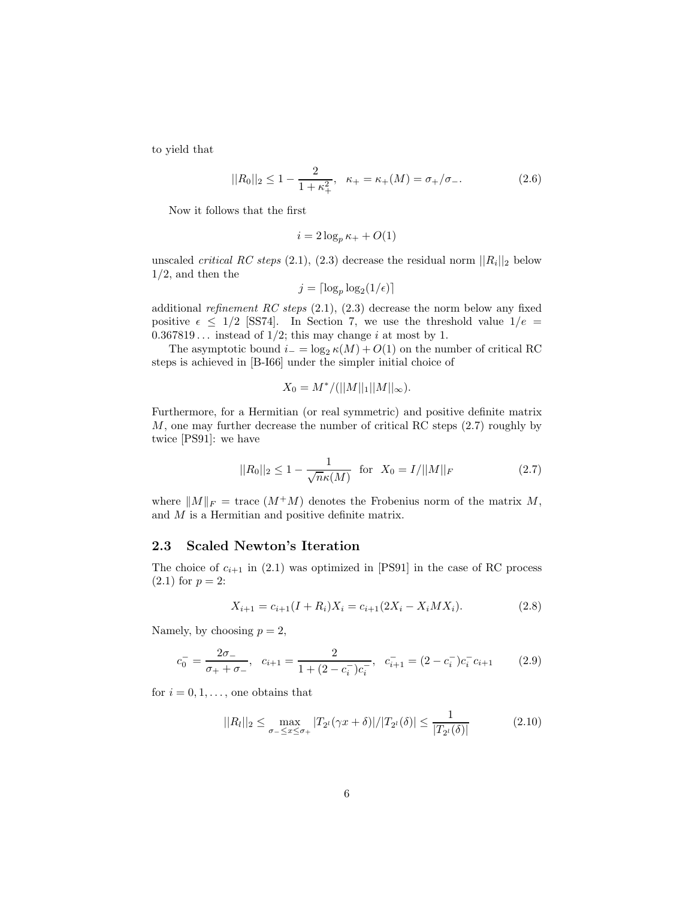to yield that

$$
||R_0||_2 \le 1 - \frac{2}{1 + \kappa_+^2}, \quad \kappa_+ = \kappa_+(M) = \sigma_+/\sigma_-.
$$
 (2.6)

Now it follows that the first

$$
i = 2\log_p \kappa_+ + O(1)
$$

unscaled *critical RC steps* (2.1), (2.3) decrease the residual norm  $||R_i||_2$  below  $1/2$ , and then the

$$
j = \lceil \log_p \log_2(1/\epsilon) \rceil
$$

additional *refinement RC steps* (2.1), (2.3) decrease the norm below any fixed positive  $\epsilon \leq 1/2$  [SS74]. In Section 7, we use the threshold value  $1/e =$  $0.367819...$  instead of  $1/2$ ; this may change i at most by 1.

The asymptotic bound  $i_-=\log_2 \kappa(M)+O(1)$  on the number of critical RC steps is achieved in [B-I66] under the simpler initial choice of

$$
X_0 = M^*/(||M||_1||M||_{\infty}).
$$

Furthermore, for a Hermitian (or real symmetric) and positive definite matrix M, one may further decrease the number of critical RC steps (2.7) roughly by twice [PS91]: we have

$$
||R_0||_2 \le 1 - \frac{1}{\sqrt{n}\kappa(M)} \quad \text{for} \quad X_0 = I/||M||_F \tag{2.7}
$$

where  $||M||_F$  = trace  $(M^+M)$  denotes the Frobenius norm of the matrix M, and M is a Hermitian and positive definite matrix.

#### **2.3 Scaled Newton's Iteration**

The choice of  $c_{i+1}$  in (2.1) was optimized in [PS91] in the case of RC process  $(2.1)$  for  $p = 2$ :

$$
X_{i+1} = c_{i+1}(I + R_i)X_i = c_{i+1}(2X_i - X_iMX_i).
$$
 (2.8)

Namely, by choosing  $p = 2$ ,

$$
c_0^- = \frac{2\sigma_-}{\sigma_+ + \sigma_-}, \quad c_{i+1} = \frac{2}{1 + (2 - c_i^-)c_i^-}, \quad c_{i+1}^- = (2 - c_i^-)c_i^-c_{i+1} \tag{2.9}
$$

for  $i = 0, 1, \ldots$ , one obtains that

$$
||R_l||_2 \le \max_{\sigma_- \le x \le \sigma_+} |T_{2^l}(\gamma x + \delta)| / |T_{2^l}(\delta)| \le \frac{1}{|T_{2^l}(\delta)|} \tag{2.10}
$$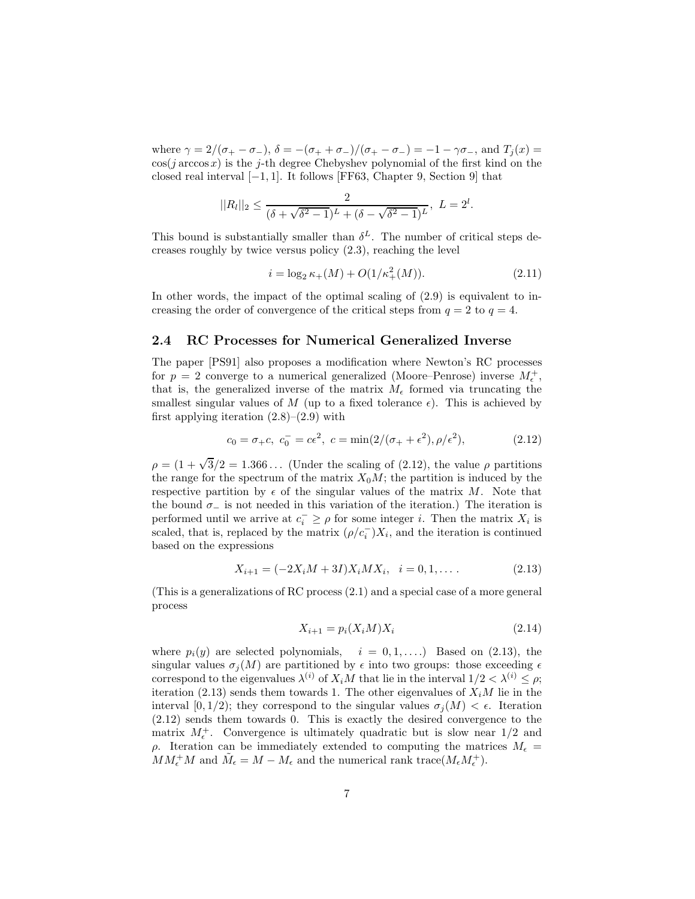where  $\gamma = 2/(\sigma_{+} - \sigma_{-}), \delta = -(\sigma_{+} + \sigma_{-})/(\sigma_{+} - \sigma_{-}) = -1 - \gamma \sigma_{-}, \text{ and } T_{j}(x) =$  $\cos(j \arccos x)$  is the j-th degree Chebyshev polynomial of the first kind on the closed real interval  $[-1, 1]$ . It follows [FF63, Chapter 9, Section 9] that

$$
||R_l||_2 \leq \frac{2}{(\delta + \sqrt{\delta^2 - 1})^L + (\delta - \sqrt{\delta^2 - 1})^L}, \ L = 2^l.
$$

This bound is substantially smaller than  $\delta^L$ . The number of critical steps decreases roughly by twice versus policy (2.3), reaching the level

$$
i = \log_2 \kappa_+(M) + O(1/\kappa_+^2(M)).\tag{2.11}
$$

In other words, the impact of the optimal scaling of (2.9) is equivalent to increasing the order of convergence of the critical steps from  $q = 2$  to  $q = 4$ .

#### **2.4 RC Processes for Numerical Generalized Inverse**

The paper [PS91] also proposes a modification where Newton's RC processes for  $p = 2$  converge to a numerical generalized (Moore–Penrose) inverse  $M_{\epsilon}^{+}$ , that is, the generalized inverse of the matrix  $M_{\epsilon}$  formed via truncating the smallest singular values of M (up to a fixed tolerance  $\epsilon$ ). This is achieved by first applying iteration  $(2.8)$ – $(2.9)$  with

$$
c_0 = \sigma_+ c, c_0^- = c\epsilon^2, c = \min(2/(\sigma_+ + \epsilon^2), \rho/\epsilon^2),
$$
 (2.12)

 $\rho = (1 + \sqrt{3}/2 = 1.366...$  (Under the scaling of (2.12), the value  $\rho$  partitions the range for the spectrum of the matrix  $X_0M$ ; the partition is induced by the respective partition by  $\epsilon$  of the singular values of the matrix M. Note that the bound  $\sigma_-\$  is not needed in this variation of the iteration.) The iteration is performed until we arrive at  $c_i^- \geq \rho$  for some integer i. Then the matrix  $X_i$  is scaled, that is, replaced by the matrix  $(\rho/c_i^-)X_i$ , and the iteration is continued based on the expressions

$$
X_{i+1} = (-2X_iM + 3I)X_iMX_i, \quad i = 0, 1, \dots
$$
\n(2.13)

(This is a generalizations of RC process (2.1) and a special case of a more general process

$$
X_{i+1} = p_i(X_i M) X_i \tag{2.14}
$$

where  $p_i(y)$  are selected polynomials,  $i = 0, 1, \ldots$ ) Based on (2.13), the singular values  $\sigma_i(M)$  are partitioned by  $\epsilon$  into two groups: those exceeding  $\epsilon$ correspond to the eigenvalues  $\lambda^{(i)}$  of  $X_iM$  that lie in the interval  $1/2 < \lambda^{(i)} \leq \rho$ ; iteration (2.13) sends them towards 1. The other eigenvalues of  $X_iM$  lie in the interval [0, 1/2]; they correspond to the singular values  $\sigma_i(M) < \epsilon$ . Iteration (2.12) sends them towards 0. This is exactly the desired convergence to the matrix  $M_{\epsilon}^+$ . Convergence is ultimately quadratic but is slow near  $1/2$  and ρ. Iteration can be immediately extended to computing the matrices  $M_ε =$  $MM_{\epsilon}^{+}M$  and  $\tilde{M}_{\epsilon} = M - M_{\epsilon}$  and the numerical rank trace $(M_{\epsilon}M_{\epsilon}^{+})$ .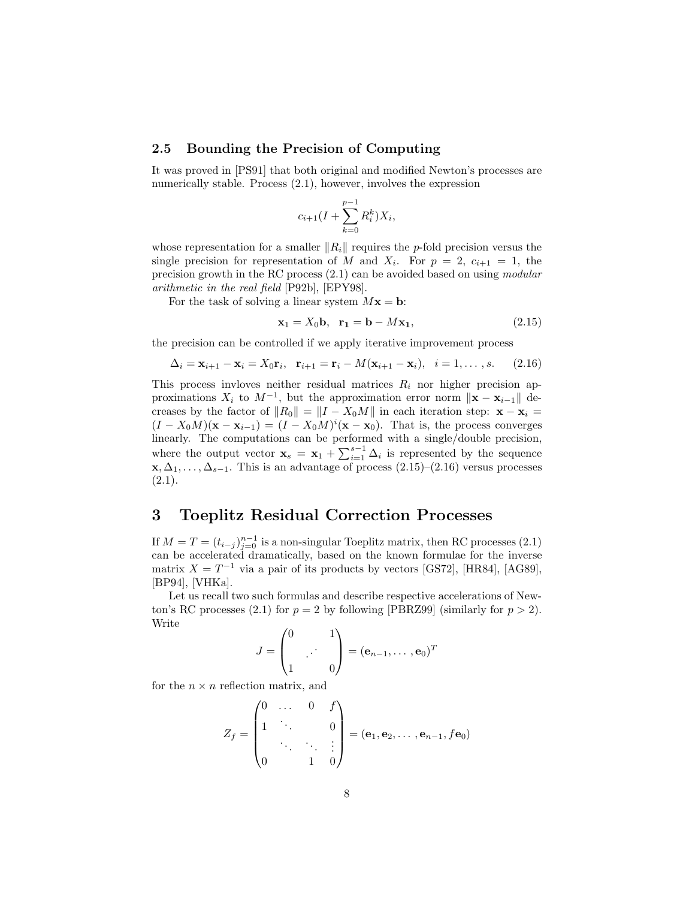#### **2.5 Bounding the Precision of Computing**

It was proved in [PS91] that both original and modified Newton's processes are numerically stable. Process  $(2.1)$ , however, involves the expression

$$
c_{i+1}(I + \sum_{k=0}^{p-1} R_i^k) X_i,
$$

whose representation for a smaller  $||R_i||$  requires the *p*-fold precision versus the single precision for representation of M and  $X_i$ . For  $p = 2$ ,  $c_{i+1} = 1$ , the precision growth in the RC process (2.1) can be avoided based on using *modular arithmetic in the real field* [P92b], [EPY98].

For the task of solving a linear system  $Mx = b$ :

$$
\mathbf{x}_1 = X_0 \mathbf{b}, \quad \mathbf{r}_1 = \mathbf{b} - M \mathbf{x}_1,\tag{2.15}
$$

the precision can be controlled if we apply iterative improvement process

$$
\Delta_i = \mathbf{x}_{i+1} - \mathbf{x}_i = X_0 \mathbf{r}_i, \quad \mathbf{r}_{i+1} = \mathbf{r}_i - M(\mathbf{x}_{i+1} - \mathbf{x}_i), \quad i = 1, \dots, s. \tag{2.16}
$$

This process invloves neither residual matrices  $R_i$  nor higher precision approximations  $X_i$  to  $M^{-1}$ , but the approximation error norm  $\|\mathbf{x} - \mathbf{x}_{i-1}\|$  decreases by the factor of  $||R_0|| = ||I - X_0M||$  in each iteration step:  $\mathbf{x} - \mathbf{x}_i =$  $(I - X_0M)(\mathbf{x} - \mathbf{x}_{i-1}) = (I - X_0M)^i(\mathbf{x} - \mathbf{x}_0)$ . That is, the process converges linearly. The computations can be performed with a single/double precision, where the output vector  $\mathbf{x}_s = \mathbf{x}_1 + \sum_{i=1}^{s-1} \Delta_i$  is represented by the sequence **x**,  $\Delta_1, \ldots, \Delta_{s-1}$ . This is an advantage of process  $(2.15)-(2.16)$  versus processes  $(2.1).$ 

### **3 Toeplitz Residual Correction Processes**

If  $M = T = (t_{i-j})_{j=0}^{n-1}$  is a non-singular Toeplitz matrix, then RC processes (2.1) can be accelerated dramatically, based on the known formulae for the inverse matrix  $X = T^{-1}$  via a pair of its products by vectors [GS72], [HR84], [AG89], [BP94], [VHKa].

Let us recall two such formulas and describe respective accelerations of Newton's RC processes (2.1) for  $p = 2$  by following [PBRZ99] (similarly for  $p > 2$ ). Write

$$
J = \begin{pmatrix} 0 & 1 \\ 1 & \cdot & 0 \end{pmatrix} = (\mathbf{e}_{n-1}, \dots, \mathbf{e}_0)^T
$$

for the  $n \times n$  reflection matrix, and

$$
Z_f = \begin{pmatrix} 0 & \dots & 0 & f \\ 1 & \ddots & & 0 \\ & \ddots & \ddots & \vdots \\ 0 & & 1 & 0 \end{pmatrix} = (\mathbf{e}_1, \mathbf{e}_2, \dots, \mathbf{e}_{n-1}, f\mathbf{e}_0)
$$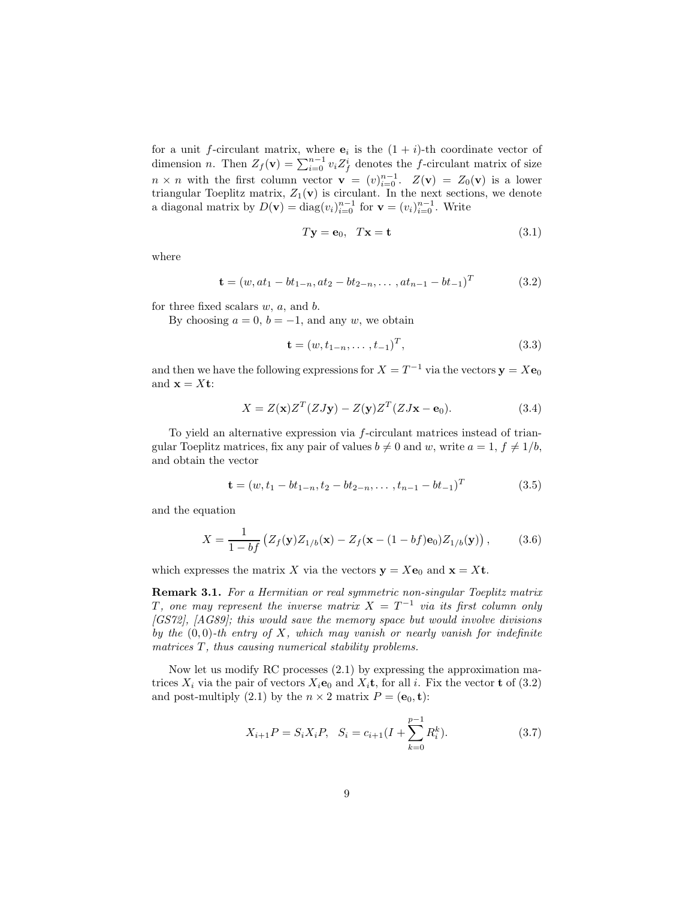for a unit f-circulant matrix, where  $e_i$  is the  $(1 + i)$ -th coordinate vector of dimension *n*. Then  $Z_f(\mathbf{v}) = \sum_{i=0}^{n-1} v_i Z_f^i$  denotes the f-circulant matrix of size  $n \times n$  with the first column vector **v** =  $(v)_{i=0}^{n-1}$ .  $Z(\mathbf{v}) = Z_0(\mathbf{v})$  is a lower triangular Toeplitz matrix,  $Z_1(\mathbf{v})$  is circulant. In the next sections, we denote a diagonal matrix by  $D(\mathbf{v}) = \text{diag}(v_i)_{i=0}^{n-1}$  for  $\mathbf{v} = (v_i)_{i=0}^{n-1}$ . Write

$$
T\mathbf{y} = \mathbf{e}_0, \quad T\mathbf{x} = \mathbf{t} \tag{3.1}
$$

where

$$
\mathbf{t} = (w, at_1 - bt_{1-n}, at_2 - bt_{2-n}, \dots, at_{n-1} - bt_{-1})^T
$$
(3.2)

for three fixed scalars  $w, a$ , and  $b$ .

By choosing  $a = 0$ ,  $b = -1$ , and any w, we obtain

$$
\mathbf{t} = (w, t_{1-n}, \dots, t_{-1})^T, \tag{3.3}
$$

and then we have the following expressions for  $X = T^{-1}$  via the vectors  $y = Xe_0$ and  $\mathbf{x} = X\mathbf{t}$ :

$$
X = Z(\mathbf{x})Z^{T}(ZJ\mathbf{y}) - Z(\mathbf{y})Z^{T}(ZJ\mathbf{x} - \mathbf{e}_{0}).
$$
\n(3.4)

To yield an alternative expression via f-circulant matrices instead of triangular Toeplitz matrices, fix any pair of values  $b \neq 0$  and w, write  $a = 1, f \neq 1/b$ , and obtain the vector

$$
\mathbf{t} = (w, t_1 - bt_{1-n}, t_2 - bt_{2-n}, \dots, t_{n-1} - bt_{-1})^T
$$
(3.5)

and the equation

$$
X = \frac{1}{1 - bf} \left( Z_f(\mathbf{y}) Z_{1/b}(\mathbf{x}) - Z_f(\mathbf{x} - (1 - bf) \mathbf{e}_0) Z_{1/b}(\mathbf{y}) \right), \tag{3.6}
$$

which expresses the matrix X via the vectors  $y = Xe_0$  and  $x = Xt$ .

**Remark 3.1.** *For a Hermitian or real symmetric non-singular Toeplitz matrix* T, one may represent the inverse matrix  $X = T^{-1}$  via its first column only *[GS72], [AG89]; this would save the memory space but would involve divisions by the* (0, 0)*-th entry of* X*, which may vanish or nearly vanish for indefinite matrices* T, thus causing numerical stability problems.

Now let us modify RC processes (2.1) by expressing the approximation matrices  $X_i$  via the pair of vectors  $X_i$ **e**<sub>0</sub> and  $X_i$ **t**, for all *i*. Fix the vector **t** of (3.2) and post-multiply (2.1) by the  $n \times 2$  matrix  $P = (\mathbf{e}_0, \mathbf{t})$ :

$$
X_{i+1}P = S_i X_i P, \quad S_i = c_{i+1} (I + \sum_{k=0}^{p-1} R_i^k).
$$
 (3.7)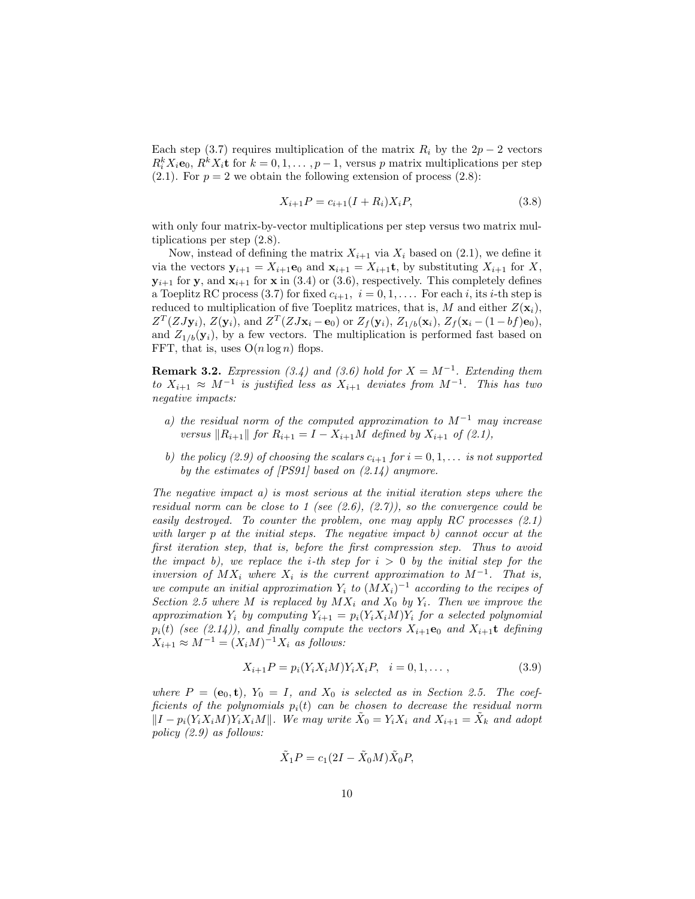Each step (3.7) requires multiplication of the matrix  $R_i$  by the  $2p-2$  vectors  $R_i^k X_i \mathbf{e}_0, R_i^k X_i \mathbf{t}$  for  $k = 0, 1, \ldots, p-1$ , versus p matrix multiplications per step  $(2.1)$ . For  $p = 2$  we obtain the following extension of process  $(2.8)$ :

$$
X_{i+1}P = c_{i+1}(I + R_i)X_iP,
$$
\n(3.8)

with only four matrix-by-vector multiplications per step versus two matrix multiplications per step (2.8).

Now, instead of defining the matrix  $X_{i+1}$  via  $X_i$  based on (2.1), we define it via the vectors  $\mathbf{y}_{i+1} = X_{i+1}\mathbf{e}_0$  and  $\mathbf{x}_{i+1} = X_{i+1}\mathbf{t}$ , by substituting  $X_{i+1}$  for X,  $y_{i+1}$  for **y**, and  $x_{i+1}$  for **x** in (3.4) or (3.6), respectively. This completely defines a Toeplitz RC process (3.7) for fixed  $c_{i+1}$ ,  $i = 0, 1, \ldots$  For each i, its i-th step is reduced to multiplication of five Toeplitz matrices, that is, M and either  $Z(\mathbf{x}_i)$ ,  $Z^T(ZJy_i), Z(y_i)$ , and  $Z^T(ZJx_i - e_0)$  or  $Z_f(y_i), Z_{1/b}(x_i), Z_f(x_i - (1 - bf)e_0)$ , and  $Z_{1/b}(\mathbf{y}_i)$ , by a few vectors. The multiplication is performed fast based on FFT, that is, uses  $O(n \log n)$  flops.

**Remark 3.2.** *Expression (3.4)* and (3.6) hold for  $X = M^{-1}$ . *Extending them to*  $X_{i+1}$  ≈  $M^{-1}$  *is justified less as*  $X_{i+1}$  *deviates from*  $M^{-1}$ *. This has two negative impacts:*

- *a) the residual norm of the computed approximation to* M−<sup>1</sup> *may increase versus*  $\|R_{i+1}\|$  *for*  $R_{i+1} = I - X_{i+1}M$  *defined by*  $X_{i+1}$  *of* (2.1),
- *b)* the policy (2.9) of choosing the scalars  $c_{i+1}$  for  $i = 0, 1, \ldots$  is not supported *by the estimates of [PS91] based on (2.14) anymore.*

*The negative impact a) is most serious at the initial iteration steps where the residual norm can be close to 1 (see (2.6), (2.7)), so the convergence could be easily destroyed. To counter the problem, one may apply RC processes (2.1) with larger* p *at the initial steps. The negative impact b) cannot occur at the first iteration step, that is, before the first compression step. Thus to avoid the impact b), we replace the i-th step for*  $i > 0$  *by the initial step for the inversion of*  $MX_i$  *where*  $X_i$  *is the current approximation to*  $M^{-1}$ *. That is, we compute an initial approximation*  $Y_i$  *to*  $(MX_i)^{-1}$  *according to the recipes of Section 2.5 where* M *is replaced by*  $MX_i$  *and*  $X_0$  *by*  $Y_i$ *. Then we improve the approximation*  $Y_i$  *by computing*  $Y_{i+1} = p_i(Y_i X_i M) Y_i$  *for a selected polynomial*  $p_i(t)$  *(see (2.14)), and finally compute the vectors*  $X_{i+1}$ **e**<sub>0</sub> *and*  $X_{i+1}$ **t** *defining*  $X_{i+1} \approx M^{-1} = (X_i M)^{-1} X_i$  *as follows:* 

$$
X_{i+1}P = p_i(Y_i X_i M)Y_i X_i P, \quad i = 0, 1, ..., \qquad (3.9)
$$

where  $P = (\mathbf{e}_0, \mathbf{t})$ ,  $Y_0 = I$ , and  $X_0$  is selected as in Section 2.5. The coef*ficients of the polynomials*  $p_i(t)$  *can be chosen to decrease the residual norm*  $||I - p_i(Y_i X_i M)Y_i X_i M||$ . We may write  $\tilde{X}_0 = Y_i X_i$  and  $X_{i+1} = \tilde{X}_k$  and adopt *policy (2.9) as follows:*

$$
\tilde{X}_1 P = c_1 (2I - \tilde{X}_0 M) \tilde{X}_0 P,
$$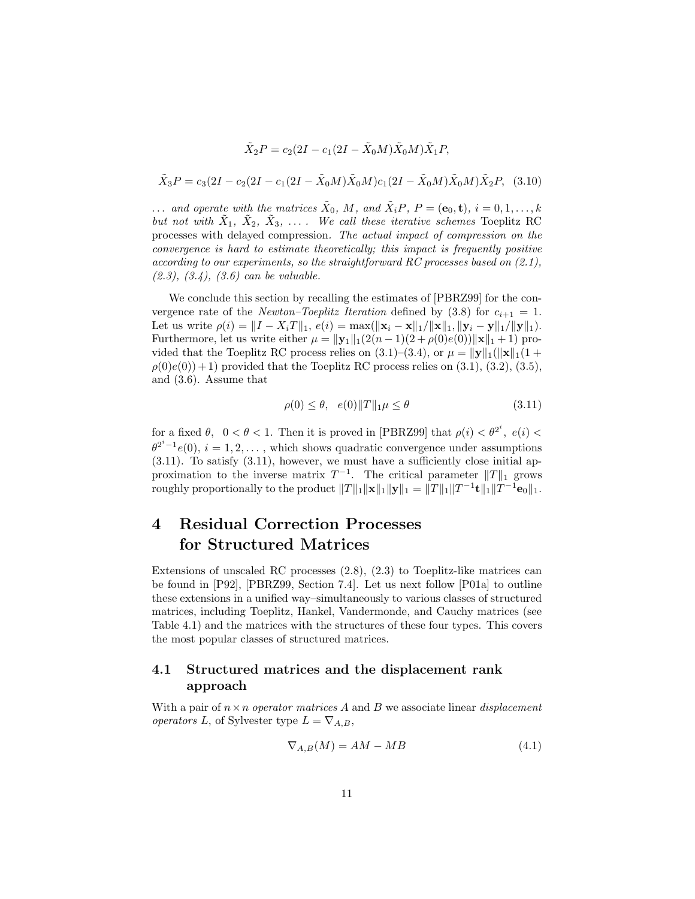$$
\tilde{X}_2 P = c_2 (2I - c_1(2I - \tilde{X}_0 M)\tilde{X}_0 M)\tilde{X}_1 P,
$$

$$
\tilde{X}_3 P = c_3 (2I - c_2 (2I - c_1 (2I - \tilde{X}_0 M) \tilde{X}_0 M) c_1 (2I - \tilde{X}_0 M) \tilde{X}_0 M) \tilde{X}_2 P, (3.10)
$$

... and operate with the matrices  $\tilde{X}_0$ , M, and  $\tilde{X}_i P$ ,  $P = (\mathbf{e}_0, \mathbf{t})$ ,  $i = 0, 1, \ldots, k$ *but not with*  $\tilde{X}_1$ ,  $\tilde{X}_2$ ,  $\tilde{X}_3$ , ... *... We call these iterative schemes* Toeplitz RC processes with delayed compression*. The actual impact of compression on the convergence is hard to estimate theoretically; this impact is frequently positive according to our experiments, so the straightforward RC processes based on (2.1), (2.3), (3.4), (3.6) can be valuable.*

We conclude this section by recalling the estimates of [PBRZ99] for the convergence rate of the *Newton–Toeplitz Iteration* defined by  $(3.8)$  for  $c_{i+1} = 1$ . Let us write  $\rho(i) = ||I - X_iT||_1$ ,  $e(i) = \max(||\mathbf{x}_i - \mathbf{x}||_1 / ||\mathbf{x}||_1, ||\mathbf{y}_i - \mathbf{y}||_1 / ||\mathbf{y}||_1)$ . Furthermore, let us write either  $\mu = ||y_1||_1(2(n-1)(2+\rho(0)e(0))||x||_1 + 1)$  provided that the Toeplitz RC process relies on  $(3.1)$ – $(3.4)$ , or  $\mu = ||\mathbf{y}||_1(||\mathbf{x}||_1(1 +$  $\rho(0)e(0)+1$  provided that the Toeplitz RC process relies on  $(3.1), (3.2), (3.5),$ and (3.6). Assume that

$$
\rho(0) \le \theta, \quad e(0) \|T\|_1 \mu \le \theta \tag{3.11}
$$

for a fixed  $\theta$ ,  $0 < \theta < 1$ . Then it is proved in [PBRZ99] that  $\rho(i) < \theta^{2^i}$ ,  $e(i) <$  $\theta^{2^{i}-1}e(0), i = 1, 2, \ldots$ , which shows quadratic convergence under assumptions  $(3.11)$ . To satisfy  $(3.11)$ , however, we must have a sufficiently close initial approximation to the inverse matrix  $T^{-1}$ . The critical parameter  $||T||_1$  grows roughly proportionally to the product  $||T||_1 ||\mathbf{x}||_1 ||\mathbf{y}||_1 = ||T||_1 ||T^{-1}\mathbf{t}||_1 ||T^{-1}\mathbf{e}_0||_1$ .

## **4 Residual Correction Processes for Structured Matrices**

Extensions of unscaled RC processes (2.8), (2.3) to Toeplitz-like matrices can be found in [P92], [PBRZ99, Section 7.4]. Let us next follow [P01a] to outline these extensions in a unified way–simultaneously to various classes of structured matrices, including Toeplitz, Hankel, Vandermonde, and Cauchy matrices (see Table 4.1) and the matrices with the structures of these four types. This covers the most popular classes of structured matrices.

#### **4.1 Structured matrices and the displacement rank approach**

With a pair of n×n *operator matrices* A and B we associate linear *displacement operators* L, of Sylvester type  $L = \nabla_{A,B}$ ,

$$
\nabla_{A,B}(M) = AM - MB \tag{4.1}
$$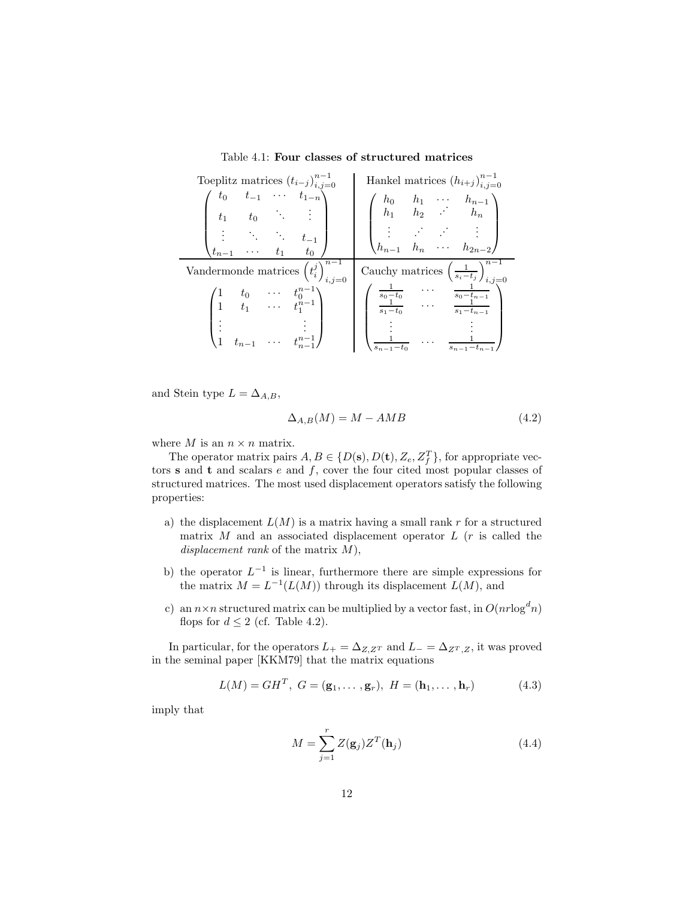Table 4.1: **Four classes of structured matrices**

| Toeplitz matrices $(t_{i-j})_{i,j=0}^{n-1}$                                                                    | Hankel matrices $(h_{i+j})_{i,j=0}^{n-1}$                                                                                                |
|----------------------------------------------------------------------------------------------------------------|------------------------------------------------------------------------------------------------------------------------------------------|
| $\left( \begin{array}{cccc} t_0 & t_{-1} & \cdots & t_{1-n} \ t_1 & t_0 & \ddots & \vdots \end{array} \right)$ | $\left(\begin{array}{cccc} h_0 & h_1 & \cdots & h_{n-1} \\ h_1 & h_2 & \cdots & h_n \end{array}\right)$                                  |
| $\begin{pmatrix} \vdots & \ddots & \ddots & t_{-1} \\ t_{n-1} & \cdots & t_1 & t_0 \end{pmatrix}$              | $\begin{pmatrix} \vdots & \vdots & \ddots & \vdots \\ h_{n-1} & h_n & \cdots & h_{2n-2} \end{pmatrix}$                                   |
| Vandermonde matrices $\overline{\left(t_i^j\right)_{i=i-n}^{n-1}}$                                             | Cauchy matrices $\left(\frac{1}{s_i-t_j}\right)_{i,j=0}^{n-1}$                                                                           |
| $\begin{pmatrix} 1 & t_0 & \cdots & t_0^{n-1} \\ 1 & t_1 & \cdots & t_1^{n-1} \end{pmatrix}$                   | $\begin{pmatrix} \frac{1}{s_0-t_0} & \cdots & \frac{1}{s_0-t_{n-1}} \\ \frac{1}{s_1-t_0} & \cdots & \frac{1}{s_1-t_{n-1}} \end{pmatrix}$ |
| $\begin{pmatrix} \vdots & & \vdots \\ 1 & t_{n-1} & \cdots & t_{n-1}^{n-1} \end{pmatrix}$                      | $s_{n-1}$ –                                                                                                                              |

and Stein type  $L = \Delta_{A,B}$ ,

$$
\Delta_{A,B}(M) = M - AMB \tag{4.2}
$$

where  $M$  is an  $n \times n$  matrix.

The operator matrix pairs  $A, B \in \{D(\mathbf{s}), D(\mathbf{t}), Z_e, Z_f^T\}$ , for appropriate vectors **s** and **t** and scalars  $e$  and  $f$ , cover the four cited most popular classes of structured matrices. The most used displacement operators satisfy the following properties:

- a) the displacement  $L(M)$  is a matrix having a small rank r for a structured matrix  $M$  and an associated displacement operator  $L$  ( $r$  is called the *displacement rank* of the matrix M),
- b) the operator  $L^{-1}$  is linear, furthermore there are simple expressions for the matrix  $M = L^{-1}(L(M))$  through its displacement  $L(M)$ , and
- c) an  $n \times n$  structured matrix can be multiplied by a vector fast, in  $O(nr \log^d n)$ flops for  $d \leq 2$  (cf. Table 4.2).

In particular, for the operators  $L_{+} = \Delta_{Z,Z^{T}}$  and  $L_{-} = \Delta_{Z^{T},Z}$ , it was proved in the seminal paper [KKM79] that the matrix equations

$$
L(M) = GH^T, \ G = (\mathbf{g}_1, \dots, \mathbf{g}_r), \ H = (\mathbf{h}_1, \dots, \mathbf{h}_r) \tag{4.3}
$$

imply that

$$
M = \sum_{j=1}^{r} Z(\mathbf{g}_j) Z^T(\mathbf{h}_j)
$$
(4.4)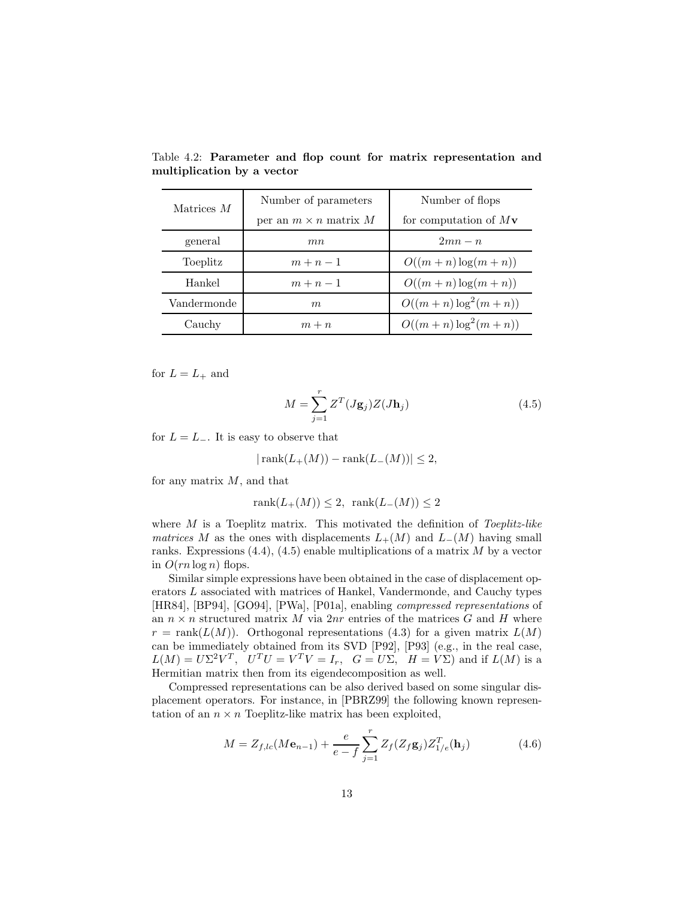| Matrices $M$ | Number of parameters         | Number of flops                |  |
|--------------|------------------------------|--------------------------------|--|
|              | per an $m \times n$ matrix M | for computation of $M_{\rm V}$ |  |
| general      | m n                          | $2mn-n$                        |  |
| Toeplitz     | $m+n-1$                      | $O((m+n)\log(m+n))$            |  |
| Hankel       | $m+n-1$                      | $O((m+n)\log(m+n))$            |  |
| Vandermonde  | m                            | $O((m+n)\log^2(m+n))$          |  |
| Cauchy       | $m + n$                      | $O((m+n)\log^2(m+n))$          |  |

Table 4.2: **Parameter and flop count for matrix representation and multiplication by a vector**

for  $L = L_+$  and

$$
M = \sum_{j=1}^{r} Z^{T}(J\mathbf{g}_{j})Z(J\mathbf{h}_{j})
$$
\n(4.5)

for  $L = L_-\$ . It is easy to observe that

$$
|\operatorname{rank}(L_+(M)) - \operatorname{rank}(L_-(M))| \le 2,
$$

for any matrix  $M$ , and that

$$
rank(L_{+}(M)) \leq 2, rank(L_{-}(M)) \leq 2
$$

where M is a Toeplitz matrix. This motivated the definition of *Toeplitz-like matrices* M as the ones with displacements  $L_{+}(M)$  and  $L_{-}(M)$  having small ranks. Expressions  $(4.4)$ ,  $(4.5)$  enable multiplications of a matrix M by a vector in  $O(rn \log n)$  flops.

Similar simple expressions have been obtained in the case of displacement operators L associated with matrices of Hankel, Vandermonde, and Cauchy types [HR84], [BP94], [GO94], [PWa], [P01a], enabling *compressed representations* of an  $n \times n$  structured matrix M via  $2nr$  entries of the matrices G and H where  $r = \text{rank}(L(M))$ . Orthogonal representations (4.3) for a given matrix  $L(M)$ can be immediately obtained from its SVD [P92], [P93] (e.g., in the real case,  $L(M) = U\Sigma^2 V^T$ ,  $U^T U = V^T V = I_r$ ,  $G = U\Sigma$ ,  $H = V\Sigma$ ) and if  $L(M)$  is a Hermitian matrix then from its eigendecomposition as well.

Compressed representations can be also derived based on some singular displacement operators. For instance, in [PBRZ99] the following known representation of an  $n \times n$  Toeplitz-like matrix has been exploited,

$$
M = Z_{f,lc}(M\mathbf{e}_{n-1}) + \frac{e}{e-f} \sum_{j=1}^{r} Z_f(Z_f \mathbf{g}_j) Z_{1/e}^T(\mathbf{h}_j)
$$
(4.6)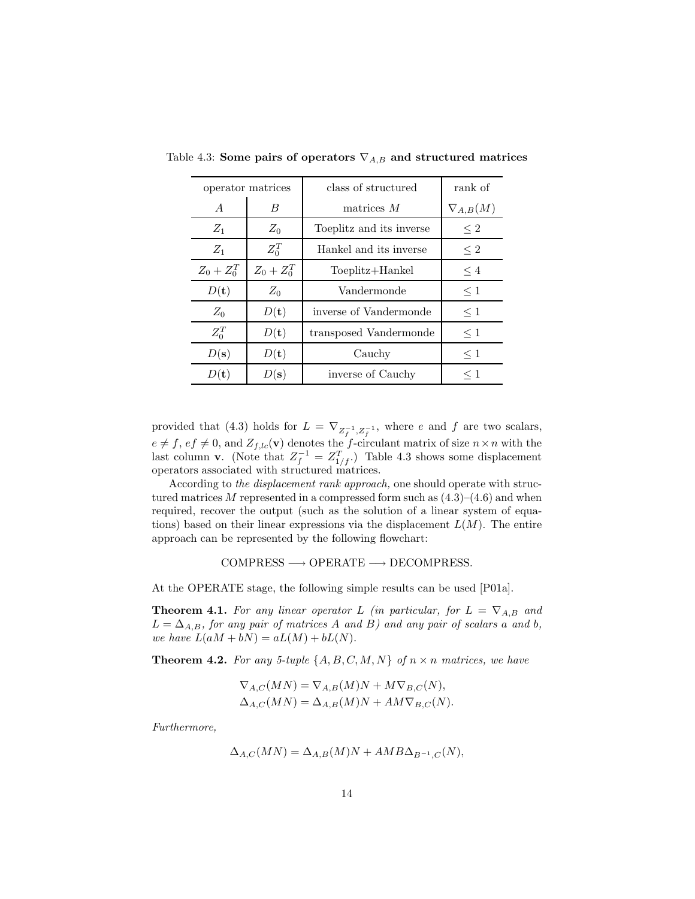|                 | operator matrices | class of structured      | rank of           |
|-----------------|-------------------|--------------------------|-------------------|
| $\overline{A}$  | B                 | matrices $M$             | $\nabla_{A,B}(M)$ |
| $Z_1$           | $Z_0$             | Toeplitz and its inverse | $\leq 2$          |
| $Z_1$           | $Z_0^T$           | Hankel and its inverse   | $\leq 2$          |
| $Z_0 + Z_0^T$   | $Z_0 + Z_0^T$     | Toeplitz+Hankel          | $\leq 4$          |
| $D(\mathbf{t})$ | $Z_0$             | Vandermonde              | $\leq 1$          |
| $Z_0$           | $D(\mathbf{t})$   | inverse of Vandermonde   | $\leq 1$          |
| $Z_0^T$         | $D(\mathbf{t})$   | transposed Vandermonde   | $\leq 1$          |
| $D(\mathbf{s})$ | $D(\mathbf{t})$   | Cauchy                   | $\leq 1$          |
| $D(\mathbf{t})$ | D(s)              | inverse of Cauchy        | $\leq 1$          |

Table 4.3: **Some pairs of operators**  $\nabla_{A,B}$  and structured matrices

provided that (4.3) holds for  $L = \nabla_{Z^{-1},Z^{-1}}$ , where e and f are two scalars, provided that (4.3) holds for  $L = V_{Z_f^{-1}, Z_f^{-1}}$ , where e and f are two scalars,<br>  $e \neq f, ef \neq 0$ , and  $Z_{f,lc}(\mathbf{v})$  denotes the f-circulant matrix of size  $n \times n$  with the last column **v**. (Note that  $Z_f^{-1} = Z_{1/f}^T$ .) Table 4.3 shows some displacement operators associated with structured matrices.

According to *the displacement rank approach,* one should operate with structured matrices M represented in a compressed form such as  $(4.3)$ – $(4.6)$  and when required, recover the output (such as the solution of a linear system of equations) based on their linear expressions via the displacement  $L(M)$ . The entire approach can be represented by the following flowchart:

 $COMPRESS \longrightarrow OPERATE \longrightarrow DECOMPRESS.$ 

At the OPERATE stage, the following simple results can be used [P01a].

**Theorem 4.1.** For any linear operator L (in particular, for  $L = \nabla_{A,B}$  and  $L = \Delta_{A,B}$ , for any pair of matrices A and B) and any pair of scalars a and b, *we have*  $L(aM + bN) = aL(M) + bL(N)$ .

**Theorem 4.2.** For any 5-tuple  $\{A, B, C, M, N\}$  of  $n \times n$  matrices, we have

$$
\nabla_{A,C}(MN) = \nabla_{A,B}(M)N + M\nabla_{B,C}(N),
$$
  
\n
$$
\Delta_{A,C}(MN) = \Delta_{A,B}(M)N + AM\nabla_{B,C}(N).
$$

*Furthermore,*

$$
\Delta_{A,C}(MN) = \Delta_{A,B}(M)N + AMB\Delta_{B^{-1},C}(N),
$$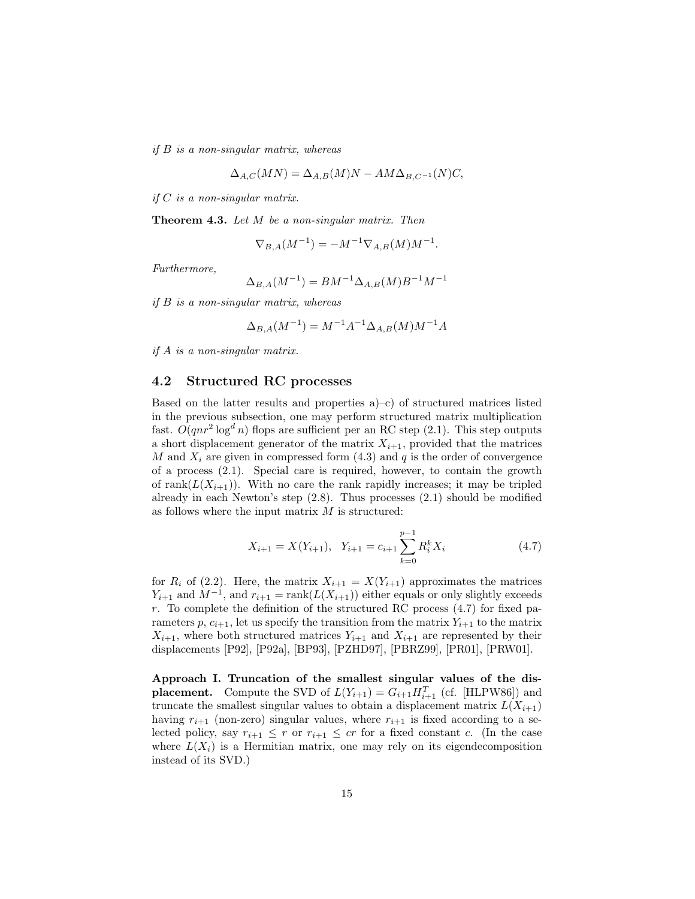*if* B *is a non-singular matrix, whereas*

$$
\Delta_{A,C}(MN) = \Delta_{A,B}(M)N - AM\Delta_{B,C^{-1}}(N)C,
$$

*if* C *is a non-singular matrix.*

**Theorem 4.3.** *Let* M *be a non-singular matrix. Then*

$$
\nabla_{B,A}(M^{-1}) = -M^{-1}\nabla_{A,B}(M)M^{-1}.
$$

*Furthermore,*

$$
\Delta_{B,A}(M^{-1}) = BM^{-1} \Delta_{A,B}(M) B^{-1} M^{-1}
$$

*if* B *is a non-singular matrix, whereas*

$$
\Delta_{B,A}(M^{-1}) = M^{-1}A^{-1}\Delta_{A,B}(M)M^{-1}A
$$

*if* A *is a non-singular matrix.*

#### **4.2 Structured RC processes**

Based on the latter results and properties a)–c) of structured matrices listed in the previous subsection, one may perform structured matrix multiplication fast.  $O(qnr^2 \log^d n)$  flops are sufficient per an RC step (2.1). This step outputs a short displacement generator of the matrix  $X_{i+1}$ , provided that the matrices M and  $X_i$  are given in compressed form (4.3) and q is the order of convergence of a process (2.1). Special care is required, however, to contain the growth of rank $(L(X_{i+1}))$ . With no care the rank rapidly increases; it may be tripled already in each Newton's step  $(2.8)$ . Thus processes  $(2.1)$  should be modified as follows where the input matrix  $M$  is structured:

$$
X_{i+1} = X(Y_{i+1}), \quad Y_{i+1} = c_{i+1} \sum_{k=0}^{p-1} R_i^k X_i \tag{4.7}
$$

for  $R_i$  of (2.2). Here, the matrix  $X_{i+1} = X(Y_{i+1})$  approximates the matrices  $Y_{i+1}$  and  $M^{-1}$ , and  $r_{i+1} = \text{rank}(L(X_{i+1}))$  either equals or only slightly exceeds r. To complete the definition of the structured RC process (4.7) for fixed parameters p,  $c_{i+1}$ , let us specify the transition from the matrix  $Y_{i+1}$  to the matrix  $X_{i+1}$ , where both structured matrices  $Y_{i+1}$  and  $X_{i+1}$  are represented by their displacements [P92], [P92a], [BP93], [PZHD97], [PBRZ99], [PR01], [PRW01].

**Approach I. Truncation of the smallest singular values of the displacement.** Compute the SVD of  $L(Y_{i+1}) = G_{i+1} H_{i+1}^T$  (cf. [HLPW86]) and truncate the smallest singular values to obtain a displacement matrix  $L(X_{i+1})$ having  $r_{i+1}$  (non-zero) singular values, where  $r_{i+1}$  is fixed according to a selected policy, say  $r_{i+1} \leq r$  or  $r_{i+1} \leq cr$  for a fixed constant c. (In the case where  $L(X_i)$  is a Hermitian matrix, one may rely on its eigendecomposition instead of its SVD.)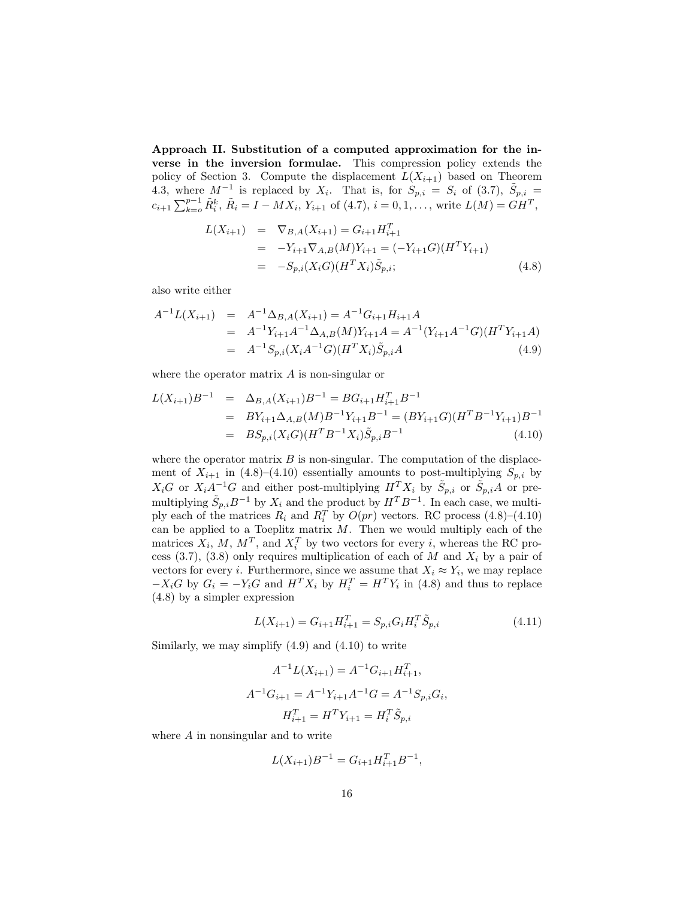**Approach II. Substitution of a computed approximation for the inverse in the inversion formulae.** This compression policy extends the policy of Section 3. Compute the displacement  $L(X_{i+1})$  based on Theorem 4.3, where  $M^{-1}$  is replaced by  $X_i$ . That is, for  $S_{p,i} = S_i$  of (3.7),  $\tilde{S}_{p,i} =$  $c_{i+1} \sum_{k=0}^{p-1} \tilde{R}_i^k$ ,  $\tilde{R}_i = I - MX_i$ ,  $Y_{i+1}$  of (4.7),  $i = 0, 1, \ldots$ , write  $L(M) = GH^T$ ,

$$
L(X_{i+1}) = \nabla_{B,A}(X_{i+1}) = G_{i+1}H_{i+1}^T
$$
  
\n
$$
= -Y_{i+1}\nabla_{A,B}(M)Y_{i+1} = (-Y_{i+1}G)(H^T Y_{i+1})
$$
  
\n
$$
= -S_{p,i}(X_i G)(H^T X_i)\tilde{S}_{p,i};
$$
\n(4.8)

also write either

$$
A^{-1}L(X_{i+1}) = A^{-1} \Delta_{B,A}(X_{i+1}) = A^{-1} G_{i+1} H_{i+1} A
$$
  
=  $A^{-1} Y_{i+1} A^{-1} \Delta_{A,B}(M) Y_{i+1} A = A^{-1} (Y_{i+1} A^{-1} G)(H^T Y_{i+1} A)$   
=  $A^{-1} S_{p,i}(X_i A^{-1} G)(H^T X_i) \tilde{S}_{p,i} A$  (4.9)

where the operator matrix  $A$  is non-singular or

$$
L(X_{i+1})B^{-1} = \Delta_{B,A}(X_{i+1})B^{-1} = BG_{i+1}H_{i+1}^T B^{-1}
$$
  
= 
$$
BY_{i+1} \Delta_{A,B}(M)B^{-1}Y_{i+1}B^{-1} = (BY_{i+1}G)(H^T B^{-1}Y_{i+1})B^{-1}
$$
  
= 
$$
BS_{p,i}(X_iG)(H^T B^{-1}X_i)\tilde{S}_{p,i}B^{-1}
$$
(4.10)

where the operator matrix  $B$  is non-singular. The computation of the displacement of  $X_{i+1}$  in (4.8)–(4.10) essentially amounts to post-multiplying  $S_{p,i}$  by  $X_iG$  or  $X_iA^{-1}G$  and either post-multiplying  $H^T X_i$  by  $\tilde{S}_{p,i}$  or  $\tilde{S}_{p,i}A$  or premultiplying  $\tilde{S}_{p,i}B^{-1}$  by  $X_i$  and the product by  $H^T B^{-1}$ . In each case, we multiply each of the matrices  $R_i$  and  $R_i^T$  by  $O(pr)$  vectors. RC process (4.8)–(4.10) can be applied to a Toeplitz matrix  $M$ . Then we would multiply each of the matrices  $X_i$ , M,  $M^T$ , and  $X_i^T$  by two vectors for every i, whereas the RC process (3.7), (3.8) only requires multiplication of each of M and  $X_i$  by a pair of vectors for every *i*. Furthermore, since we assume that  $X_i \approx Y_i$ , we may replace  $-X_iG$  by  $G_i = -Y_iG$  and  $H^T X_i$  by  $H_i^T = H^T Y_i$  in (4.8) and thus to replace (4.8) by a simpler expression

$$
L(X_{i+1}) = G_{i+1}H_{i+1}^T = S_{p,i}G_iH_i^T\tilde{S}_{p,i}
$$
\n(4.11)

Similarly, we may simplify  $(4.9)$  and  $(4.10)$  to write

$$
A^{-1}L(X_{i+1}) = A^{-1}G_{i+1}H_{i+1}^T,
$$
  

$$
A^{-1}G_{i+1} = A^{-1}Y_{i+1}A^{-1}G = A^{-1}S_{p,i}G_i,
$$
  

$$
H_{i+1}^T = H^TY_{i+1} = H_i^T \tilde{S}_{p,i}
$$

where A in nonsingular and to write

$$
L(X_{i+1})B^{-1} = G_{i+1}H_{i+1}^T B^{-1},
$$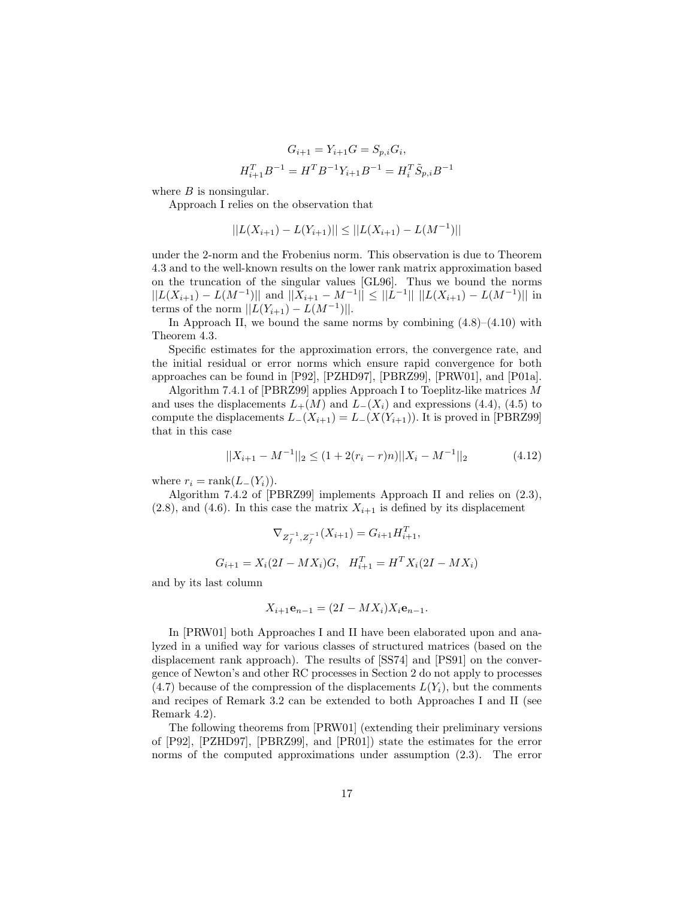$$
G_{i+1} = Y_{i+1}G = S_{p,i}G_i,
$$
  

$$
H_{i+1}^T B^{-1} = H^T B^{-1} Y_{i+1} B^{-1} = H_i^T \tilde{S}_{p,i} B^{-1}
$$

where  $B$  is nonsingular.

Approach I relies on the observation that

$$
||L(X_{i+1}) - L(Y_{i+1})|| \leq ||L(X_{i+1}) - L(M^{-1})||
$$

under the 2-norm and the Frobenius norm. This observation is due to Theorem 4.3 and to the well-known results on the lower rank matrix approximation based on the truncation of the singular values [GL96]. Thus we bound the norms  $||L(X_{i+1}) - L(M^{-1})||$  and  $||X_{i+1} - M^{-1}|| \le ||L^{-1}|| ||L(X_{i+1}) - L(M^{-1})||$  in terms of the norm  $||L(Y_{i+1}) - L(M^{-1})||$ .

In Approach II, we bound the same norms by combining  $(4.8)$ – $(4.10)$  with Theorem 4.3.

Specific estimates for the approximation errors, the convergence rate, and the initial residual or error norms which ensure rapid convergence for both approaches can be found in [P92], [PZHD97], [PBRZ99], [PRW01], and [P01a].

Algorithm 7.4.1 of [PBRZ99] applies Approach I to Toeplitz-like matrices M and uses the displacements  $L_{+}(M)$  and  $L_{-}(X_i)$  and expressions (4.4), (4.5) to compute the displacements  $L_{-}(X_{i+1}) = L_{-}(X(Y_{i+1}))$ . It is proved in [PBRZ99] that in this case

$$
||X_{i+1} - M^{-1}||_2 \le (1 + 2(r_i - r)n)||X_i - M^{-1}||_2 \tag{4.12}
$$

where  $r_i = \text{rank}(L_{-}(Y_i)).$ 

Algorithm 7.4.2 of [PBRZ99] implements Approach II and relies on (2.3),  $(2.8)$ , and  $(4.6)$ . In this case the matrix  $X_{i+1}$  is defined by its displacement

$$
\nabla_{Z_f^{-1}, Z_f^{-1}}(X_{i+1}) = G_{i+1} H_{i+1}^T,
$$

$$
G_{i+1} = X_i(2I - MX_i)G, \quad H_{i+1}^T = H^T X_i(2I - MX_i)
$$

and by its last column

$$
X_{i+1}\mathbf{e}_{n-1} = (2I - MX_i)X_i\mathbf{e}_{n-1}.
$$

In [PRW01] both Approaches I and II have been elaborated upon and analyzed in a unified way for various classes of structured matrices (based on the displacement rank approach). The results of [SS74] and [PS91] on the convergence of Newton's and other RC processes in Section 2 do not apply to processes  $(4.7)$  because of the compression of the displacements  $L(Y_i)$ , but the comments and recipes of Remark 3.2 can be extended to both Approaches I and II (see Remark 4.2).

The following theorems from [PRW01] (extending their preliminary versions of [P92], [PZHD97], [PBRZ99], and [PR01]) state the estimates for the error norms of the computed approximations under assumption (2.3). The error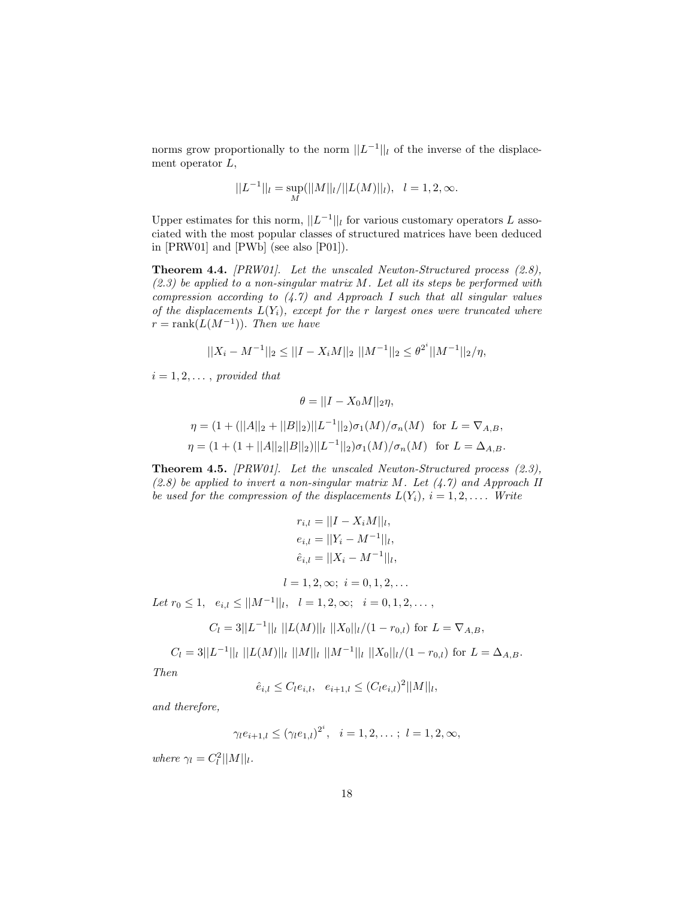norms grow proportionally to the norm  $||L^{-1}||_l$  of the inverse of the displacement operator  $L$ ,

$$
||L^{-1}||_l = \sup_M(||M||_l/||L(M)||_l), \quad l = 1, 2, \infty.
$$

Upper estimates for this norm,  $||L^{-1}||_l$  for various customary operators L associated with the most popular classes of structured matrices have been deduced in [PRW01] and [PWb] (see also [P01]).

**Theorem 4.4.** *[PRW01]. Let the unscaled Newton-Structured process (2.8), (2.3) be applied to a non-singular matrix* M*. Let all its steps be performed with compression according to (4.7) and Approach I such that all singular values of the displacements* L(Yi)*, except for the* r *largest ones were truncated where*  $r = \operatorname{rank}(L(M^{-1}))$ . *Then we have* 

$$
||X_i - M^{-1}||_2 \le ||I - X_iM||_2 ||M^{-1}||_2 \le \theta^{2^i} ||M^{-1}||_2 / \eta,
$$

 $i = 1, 2, \ldots$ , *provided that* 

$$
\theta = ||I - X_0M||_2\eta,
$$
  

$$
\eta = (1 + (||A||_2 + ||B||_2)||L^{-1}||_2)\sigma_1(M)/\sigma_n(M) \text{ for } L = \nabla_{A,B},
$$
  

$$
\eta = (1 + (1 + ||A||_2||B||_2)||L^{-1}||_2)\sigma_1(M)/\sigma_n(M) \text{ for } L = \Delta_{A,B}.
$$

**Theorem 4.5.** *[PRW01]. Let the unscaled Newton-Structured process (2.3), (2.8) be applied to invert a non-singular matrix* M*. Let (4.7) and Approach II be used for the compression of the displacements*  $L(Y_i)$ *,*  $i = 1, 2, \ldots$  *Write* 

$$
r_{i,l} = ||I - X_iM||_l,
$$
  
\n
$$
e_{i,l} = ||Y_i - M^{-1}||_l,
$$
  
\n
$$
\hat{e}_{i,l} = ||X_i - M^{-1}||_l,
$$
  
\n
$$
l = 1, 2, \infty; i = 0, 1, 2, ...
$$
  
\nLet  $r_0 \le 1$ ,  $e_{i,l} \le ||M^{-1}||_l$ ,  $l = 1, 2, \infty$ ;  $i = 0, 1, 2, ...$ ,

$$
C_l = 3||L^{-1}||_l ||L(M)||_l ||X_0||_l/(1 - r_{0,l})
$$
 for  $L = \nabla_{A,B}$ ,

$$
C_l = 3||L^{-1}||_l ||L(M)||_l ||M||_l ||M^{-1}||_l ||X_0||_l/(1-r_{0,l})
$$
 for  $L = \Delta_{A,B}$ .

*Then*

 $\hat{e}_{i,l} \leq C_l e_{i,l}, \quad e_{i+1,l} \leq (C_l e_{i,l})^2 ||M||_l,$ 

*and therefore,*

$$
\gamma_l e_{i+1,l} \le (\gamma_l e_{1,l})^{2^i}, \quad i = 1, 2, \dots; \ l = 1, 2, \infty,
$$

*where*  $\gamma_l = C_l^2 ||M||_l$ .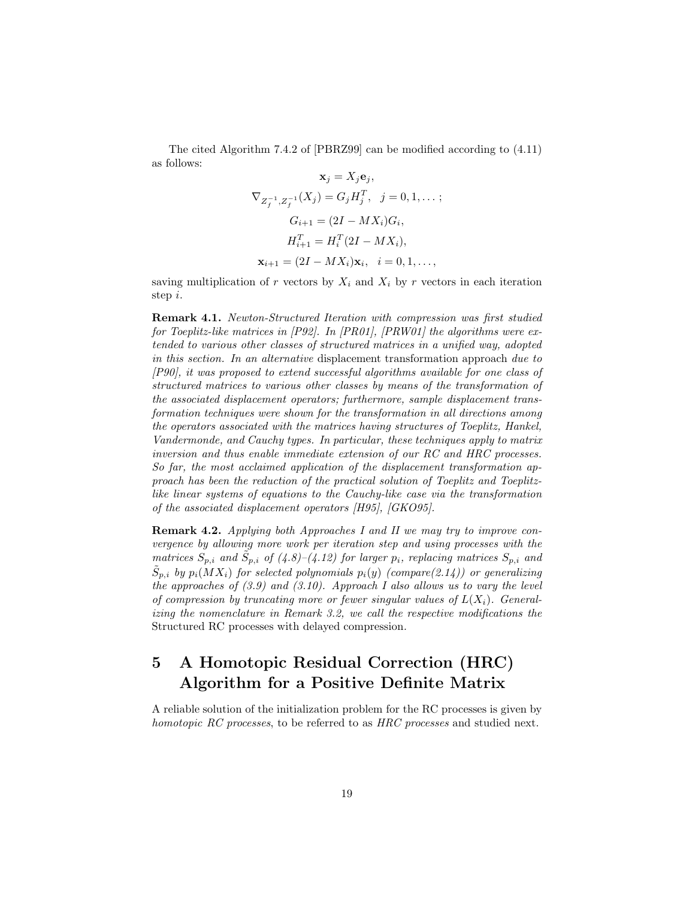The cited Algorithm 7.4.2 of [PBRZ99] can be modified according to (4.11) as follows:

$$
\mathbf{x}_{j} = X_{j} \mathbf{e}_{j},
$$
  
\n
$$
\nabla_{Z_{f}^{-1}, Z_{f}^{-1}}(X_{j}) = G_{j} H_{j}^{T}, \quad j = 0, 1, ...;
$$
  
\n
$$
G_{i+1} = (2I - MX_{i})G_{i},
$$
  
\n
$$
H_{i+1}^{T} = H_{i}^{T}(2I - MX_{i}),
$$
  
\n
$$
\mathbf{x}_{i+1} = (2I - MX_{i})\mathbf{x}_{i}, \quad i = 0, 1, ...;
$$

saving multiplication of r vectors by  $X_i$  and  $X_i$  by r vectors in each iteration step i.

**Remark 4.1.** *Newton-Structured Iteration with compression was first studied for Toeplitz-like matrices in [P92]. In [PR01], [PRW01] the algorithms were extended to various other classes of structured matrices in a unified way, adopted in this section. In an alternative* displacement transformation approach *due to [P90], it was proposed to extend successful algorithms available for one class of structured matrices to various other classes by means of the transformation of the associated displacement operators; furthermore, sample displacement transformation techniques were shown for the transformation in all directions among the operators associated with the matrices having structures of Toeplitz, Hankel, Vandermonde, and Cauchy types. In particular, these techniques apply to matrix inversion and thus enable immediate extension of our RC and HRC processes. So far, the most acclaimed application of the displacement transformation approach has been the reduction of the practical solution of Toeplitz and Toeplitzlike linear systems of equations to the Cauchy-like case via the transformation of the associated displacement operators [H95], [GKO95].*

**Remark 4.2.** *Applying both Approaches I and II we may try to improve convergence by allowing more work per iteration step and using processes with the matrices*  $S_{p,i}$  *and*  $S_{p,i}$  *of* (4.8)–(4.12) for larger  $p_i$ , replacing matrices  $S_{p,i}$  *and*  $S_{p,i}$  *by*  $p_i(MX_i)$  *for selected polynomials*  $p_i(y)$  *(compare(2.14)) or generalizing the approaches of (3.9) and (3.10). Approach I also allows us to vary the level of compression by truncating more or fewer singular values of*  $L(X_i)$ *. Generalizing the nomenclature in Remark 3.2, we call the respective modifications the* Structured RC processes with delayed compression*.*

# **5 A Homotopic Residual Correction (HRC) Algorithm for a Positive Definite Matrix**

A reliable solution of the initialization problem for the RC processes is given by *homotopic RC processes*, to be referred to as *HRC processes* and studied next.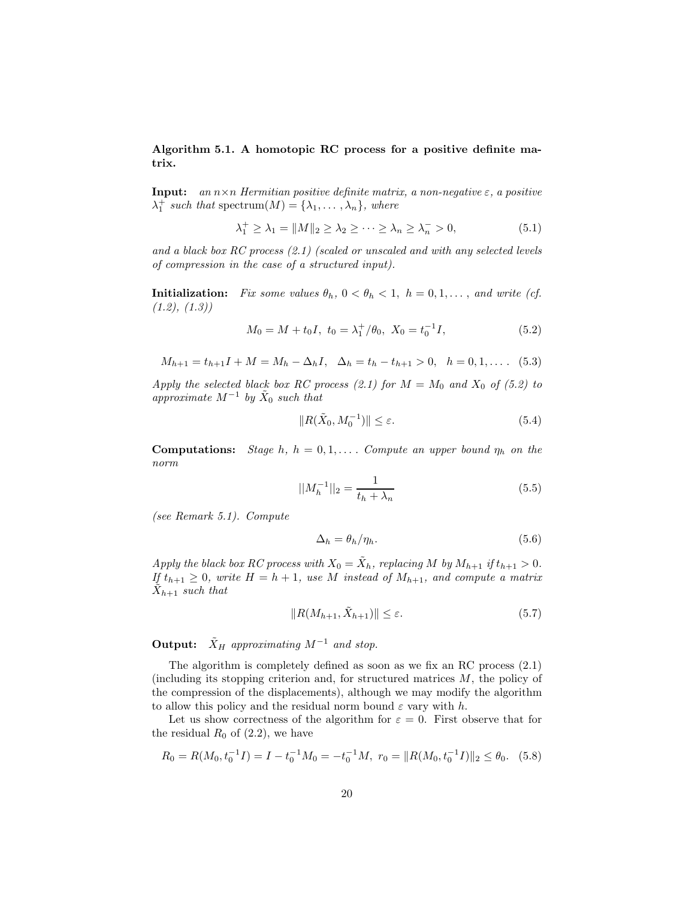**Algorithm 5.1. A homotopic RC process for a positive definite matrix.**

**Input:** *an* n×n *Hermitian positive definite matrix, a non-negative* ε*, a positive*  $\lambda_1^+$  *such that* spectrum $(M) = {\lambda_1, \ldots, \lambda_n}$ *, where* 

$$
\lambda_1^+ \ge \lambda_1 = ||M||_2 \ge \lambda_2 \ge \dots \ge \lambda_n \ge \lambda_n^- > 0,
$$
\n
$$
(5.1)
$$

*and a black box RC process (2.1) (scaled or unscaled and with any selected levels of compression in the case of a structured input).*

**Initialization:** *Fix some values*  $\theta_h$ ,  $0 < \theta_h < 1$ ,  $h = 0, 1, \ldots$ , and write (cf.) *(1.2), (1.3))*

$$
M_0 = M + t_0 I, \ t_0 = \lambda_1^+ / \theta_0, \ X_0 = t_0^{-1} I,
$$
\n(5.2)

 $M_{h+1} = t_{h+1}I + M = M_h - \Delta_h I$ ,  $\Delta_h = t_h - t_{h+1} > 0$ ,  $h = 0, 1, \ldots$  (5.3)

*Apply the selected black box RC process (2.1) for*  $M = M_0$  *and*  $X_0$  *of (5.2) to approximate*  $M^{-1}$  *by*  $\tilde{X}_0$  *such that* 

$$
||R(\tilde{X}_0, M_0^{-1})|| \le \varepsilon. \tag{5.4}
$$

**Computations:** *Stage* h,  $h = 0, 1, \ldots$  *Compute an upper bound*  $\eta_h$  *on the norm*

$$
||M_h^{-1}||_2 = \frac{1}{t_h + \lambda_n} \tag{5.5}
$$

*(see Remark 5.1). Compute*

$$
\Delta_h = \theta_h / \eta_h. \tag{5.6}
$$

*Apply the black box RC process with*  $X_0 = \tilde{X}_h$ *, replacing* M *by*  $M_{h+1}$  *if*  $t_{h+1} > 0$ *. If*  $t_{h+1} \geq 0$ *, write*  $H = h + 1$ *, use* M *instead of*  $M_{h+1}$ *, and compute a matrix*  $X_{h+1}$  *such that* 

$$
||R(M_{h+1}, \tilde{X}_{h+1})|| \le \varepsilon. \tag{5.7}
$$

**Output:**  $\tilde{X}_H$  *approximating*  $M^{-1}$  *and stop.* 

The algorithm is completely defined as soon as we fix an RC process (2.1) (including its stopping criterion and, for structured matrices M, the policy of the compression of the displacements), although we may modify the algorithm to allow this policy and the residual norm bound  $\varepsilon$  vary with h.

Let us show correctness of the algorithm for  $\varepsilon = 0$ . First observe that for the residual  $R_0$  of (2.2), we have

$$
R_0 = R(M_0, t_0^{-1}I) = I - t_0^{-1}M_0 = -t_0^{-1}M, \ r_0 = ||R(M_0, t_0^{-1}I)||_2 \le \theta_0. \tag{5.8}
$$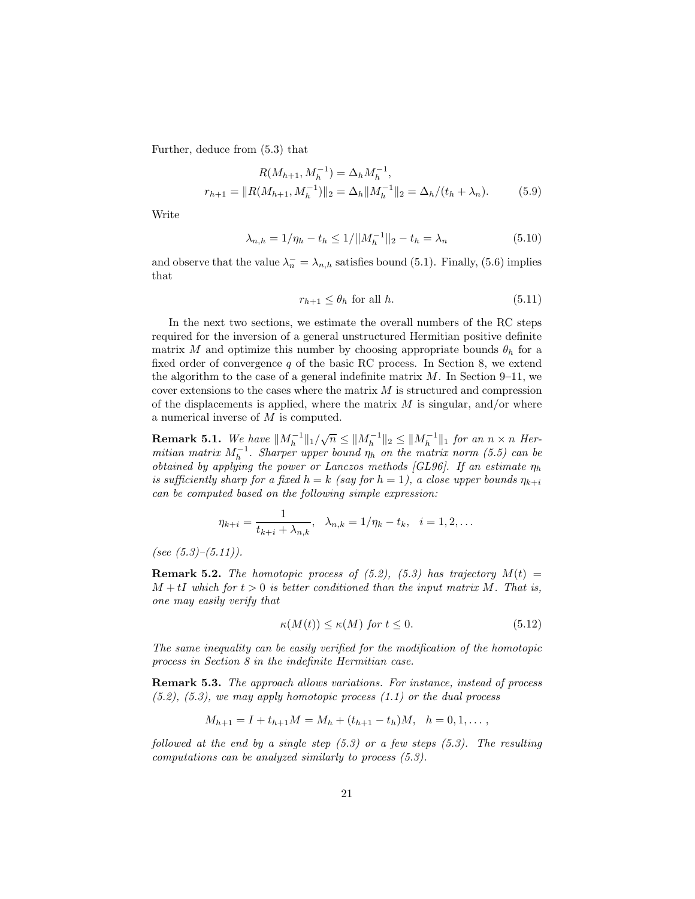Further, deduce from (5.3) that

$$
R(M_{h+1}, M_h^{-1}) = \Delta_h M_h^{-1},
$$
  

$$
r_{h+1} = ||R(M_{h+1}, M_h^{-1})||_2 = \Delta_h ||M_h^{-1}||_2 = \Delta_h / (t_h + \lambda_n).
$$
 (5.9)

Write

$$
\lambda_{n,h} = 1/\eta_h - t_h \le 1/||M_h^{-1}||_2 - t_h = \lambda_n \tag{5.10}
$$

and observe that the value  $\lambda_n^- = \lambda_{n,h}$  satisfies bound (5.1). Finally, (5.6) implies that

$$
r_{h+1} \le \theta_h \text{ for all } h. \tag{5.11}
$$

In the next two sections, we estimate the overall numbers of the RC steps required for the inversion of a general unstructured Hermitian positive definite matrix M and optimize this number by choosing appropriate bounds  $\theta_h$  for a fixed order of convergence  $q$  of the basic RC process. In Section 8, we extend the algorithm to the case of a general indefinite matrix  $M$ . In Section 9–11, we cover extensions to the cases where the matrix  $M$  is structured and compression of the displacements is applied, where the matrix  $M$  is singular, and/or where a numerical inverse of M is computed.

**Remark 5.1.** We have  $||M_h^{-1}||_1/\sqrt{n} \le ||M_h^{-1}||_2 \le ||M_h^{-1}||_1$  for an  $n \times n$  Her*mitian matrix*  $M_h^{-1}$ . Sharper upper bound  $\eta_h$  on the matrix norm (5.5) can be *obtained by applying the power or Lanczos methods [GL96]. If an estimate*  $\eta_h$ *is sufficiently sharp for a fixed*  $h = k$  *(say for*  $h = 1$ *), a close upper bounds*  $\eta_{k+i}$ *can be computed based on the following simple expression:*

$$
\eta_{k+i} = \frac{1}{t_{k+i} + \lambda_{n,k}}, \quad \lambda_{n,k} = 1/\eta_k - t_k, \quad i = 1, 2, \dots
$$

*(see (5.3)–(5.11)).*

**Remark 5.2.** *The homotopic process of (5.2), (5.3) has trajectory*  $M(t)$  =  $M + tI$  which for  $t > 0$  is better conditioned than the input matrix M. That is, *one may easily verify that*

$$
\kappa(M(t)) \le \kappa(M) \text{ for } t \le 0. \tag{5.12}
$$

*The same inequality can be easily verified for the modification of the homotopic process in Section 8 in the indefinite Hermitian case.*

**Remark 5.3.** *The approach allows variations. For instance, instead of process (5.2), (5.3), we may apply homotopic process (1.1) or the dual process*

$$
M_{h+1} = I + t_{h+1}M = M_h + (t_{h+1} - t_h)M, \quad h = 0, 1, \dots,
$$

*followed at the end by a single step (5.3) or a few steps (5.3). The resulting computations can be analyzed similarly to process (5.3).*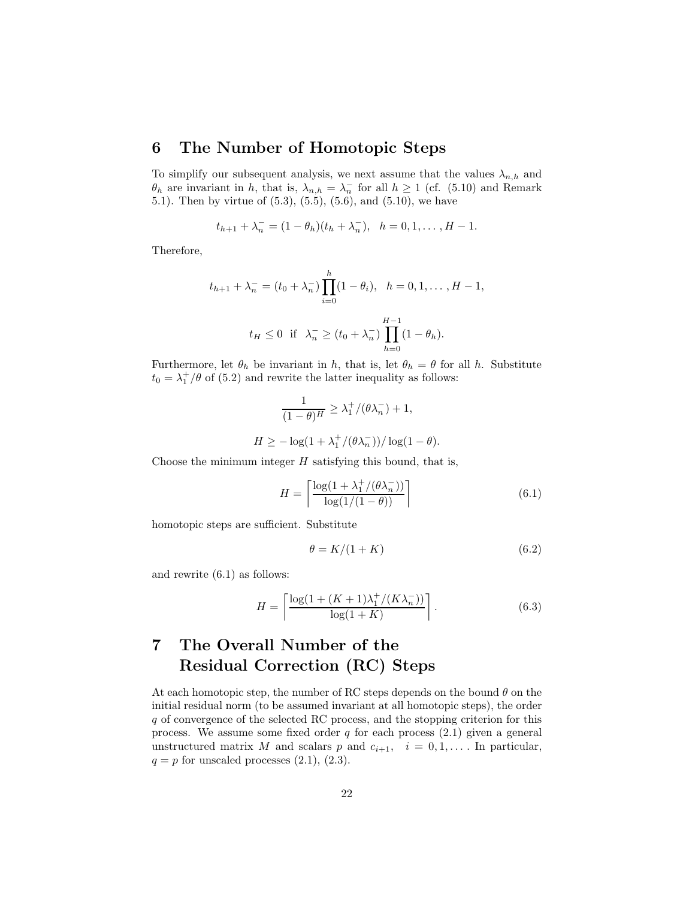### **6 The Number of Homotopic Steps**

To simplify our subsequent analysis, we next assume that the values  $\lambda_{n,h}$  and  $\theta_h$  are invariant in h, that is,  $\lambda_{n,h} = \lambda_n^{-}$  for all  $h \ge 1$  (cf. (5.10) and Remark 5.1). Then by virtue of (5.3), (5.5), (5.6), and (5.10), we have

$$
t_{h+1} + \lambda_n^- = (1 - \theta_h)(t_h + \lambda_n^-), \quad h = 0, 1, \dots, H - 1.
$$

Therefore,

$$
t_{h+1} + \lambda_n^- = (t_0 + \lambda_n^-) \prod_{i=0}^h (1 - \theta_i), \quad h = 0, 1, \dots, H - 1,
$$
  

$$
t_H \le 0 \quad \text{if} \quad \lambda_n^- \ge (t_0 + \lambda_n^-) \prod_{h=0}^{H-1} (1 - \theta_h).
$$

Furthermore, let  $\theta_h$  be invariant in h, that is, let  $\theta_h = \theta$  for all h. Substitute  $t_0 = \lambda_1^+/\theta$  of (5.2) and rewrite the latter inequality as follows:

$$
\frac{1}{(1-\theta)^H} \ge \lambda_1^+ / (\theta \lambda_n^-) + 1,
$$
  

$$
H \ge -\log(1 + \lambda_1^+ / (\theta \lambda_n^-)) / \log(1 - \theta).
$$

Choose the minimum integer  $H$  satisfying this bound, that is,

$$
H = \left\lceil \frac{\log(1 + \lambda_1^+ / (\theta \lambda_n^-))}{\log(1/(1 - \theta))} \right\rceil \tag{6.1}
$$

homotopic steps are sufficient. Substitute

$$
\theta = K/(1+K) \tag{6.2}
$$

and rewrite (6.1) as follows:

$$
H = \left\lceil \frac{\log(1 + (K+1)\lambda_1^+ / (K\lambda_n^-))}{\log(1+K)} \right\rceil. \tag{6.3}
$$

# **7 The Overall Number of the Residual Correction (RC) Steps**

At each homotopic step, the number of RC steps depends on the bound  $\theta$  on the initial residual norm (to be assumed invariant at all homotopic steps), the order q of convergence of the selected RC process, and the stopping criterion for this process. We assume some fixed order  $q$  for each process  $(2.1)$  given a general unstructured matrix M and scalars p and  $c_{i+1}$ ,  $i = 0, 1, \ldots$  In particular,  $q = p$  for unscaled processes  $(2.1)$ ,  $(2.3)$ .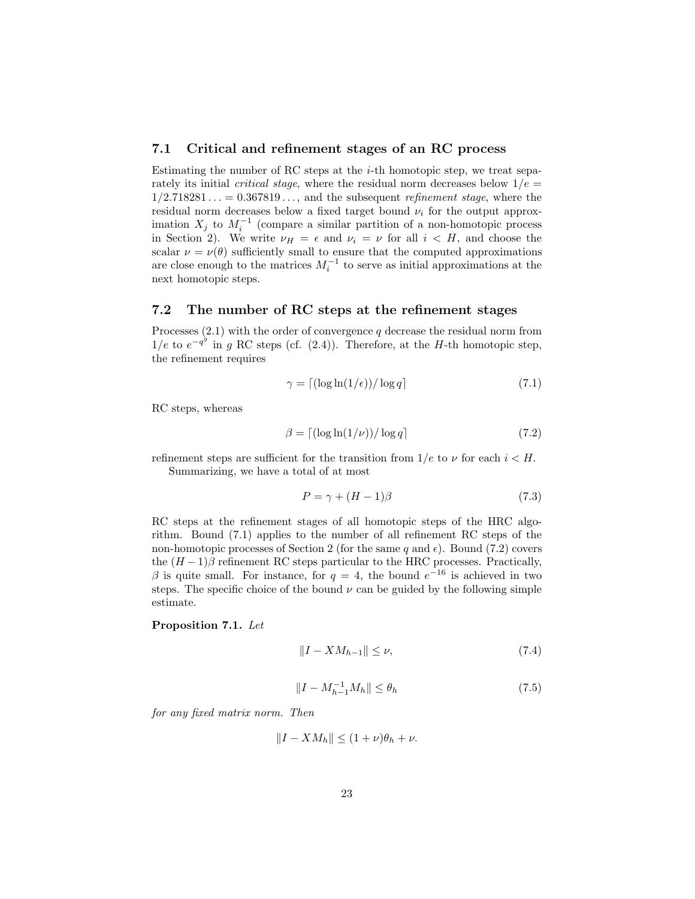#### **7.1 Critical and refinement stages of an RC process**

Estimating the number of RC steps at the  $i$ -th homotopic step, we treat separately its initial *critical stage*, where the residual norm decreases below  $1/e =$ 1/2.718281 ... = 0.367819 ..., and the subsequent *refinement stage*, where the residual norm decreases below a fixed target bound  $\nu_i$  for the output approximation  $X_j$  to  $M_i^{-1}$  (compare a similar partition of a non-homotopic process in Section 2). We write  $\nu_H = \epsilon$  and  $\nu_i = \nu$  for all  $i < H$ , and choose the scalar  $\nu = \nu(\theta)$  sufficiently small to ensure that the computed approximations are close enough to the matrices  $M_i^{-1}$  to serve as initial approximations at the next homotopic steps.

#### **7.2 The number of RC steps at the refinement stages**

Processes  $(2.1)$  with the order of convergence q decrease the residual norm from 1/e to  $e^{-q^g}$  in g RC steps (cf. (2.4)). Therefore, at the H-th homotopic step, the refinement requires

$$
\gamma = \left\lceil \left( \log \ln(1/\epsilon) \right) / \log q \right\rceil \tag{7.1}
$$

RC steps, whereas

$$
\beta = \left[ \left( \log \ln(1/\nu) \right) / \log q \right] \tag{7.2}
$$

refinement steps are sufficient for the transition from  $1/e$  to  $\nu$  for each  $i < H$ . Summarizing, we have a total of at most

$$
P = \gamma + (H - 1)\beta \tag{7.3}
$$

RC steps at the refinement stages of all homotopic steps of the HRC algorithm. Bound (7.1) applies to the number of all refinement RC steps of the non-homotopic processes of Section 2 (for the same q and  $\epsilon$ ). Bound (7.2) covers the  $(H-1)\beta$  refinement RC steps particular to the HRC processes. Practically, β is quite small. For instance, for  $q = 4$ , the bound  $e^{-16}$  is achieved in two steps. The specific choice of the bound  $\nu$  can be guided by the following simple estimate.

#### **Proposition 7.1.** *Let*

$$
||I - X M_{h-1}|| \le \nu,
$$
\n(7.4)

$$
||I - M_{h-1}^{-1}M_h|| \le \theta_h \tag{7.5}
$$

*for any fixed matrix norm. Then*

$$
||I - X M_h|| \le (1 + \nu)\theta_h + \nu.
$$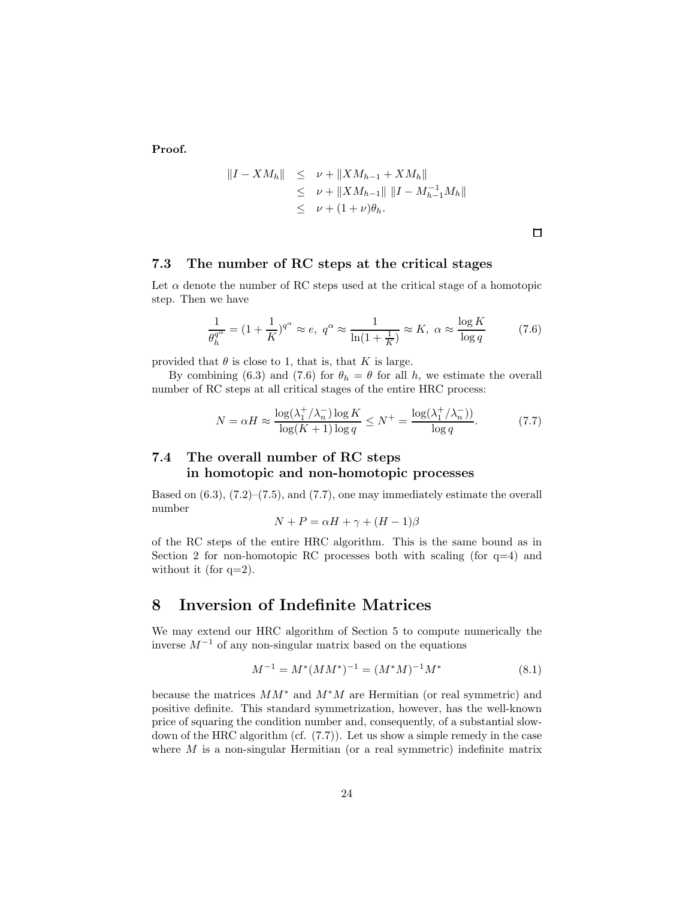**Proof.**

$$
||I - XM_h|| \leq \nu + ||XM_{h-1} + XM_h||
$$
  
\n
$$
\leq \nu + ||XM_{h-1}|| ||I - M_{h-1}^{-1}M_h||
$$
  
\n
$$
\leq \nu + (1 + \nu)\theta_h.
$$

 $\Box$ 

#### **7.3 The number of RC steps at the critical stages**

Let  $\alpha$  denote the number of RC steps used at the critical stage of a homotopic step. Then we have

$$
\frac{1}{\theta_h^{q^{\alpha}}} = (1 + \frac{1}{K})^{q^{\alpha}} \approx e, \ q^{\alpha} \approx \frac{1}{\ln(1 + \frac{1}{K})} \approx K, \ \alpha \approx \frac{\log K}{\log q}
$$
(7.6)

provided that  $\theta$  is close to 1, that is, that K is large.

By combining (6.3) and (7.6) for  $\theta_h = \theta$  for all h, we estimate the overall number of RC steps at all critical stages of the entire HRC process:

$$
N = \alpha H \approx \frac{\log(\lambda_1^+ / \lambda_n^-) \log K}{\log(K+1) \log q} \le N^+ = \frac{\log(\lambda_1^+ / \lambda_n^-))}{\log q}.
$$
 (7.7)

### **7.4 The overall number of RC steps in homotopic and non-homotopic processes**

Based on  $(6.3)$ ,  $(7.2)$ – $(7.5)$ , and  $(7.7)$ , one may immediately estimate the overall number

$$
N + P = \alpha H + \gamma + (H - 1)\beta
$$

of the RC steps of the entire HRC algorithm. This is the same bound as in Section 2 for non-homotopic RC processes both with scaling (for  $q=4$ ) and without it (for  $q=2$ ).

### **8 Inversion of Indefinite Matrices**

We may extend our HRC algorithm of Section 5 to compute numerically the inverse  $M^{-1}$  of any non-singular matrix based on the equations

$$
M^{-1} = M^*(MM^*)^{-1} = (M^*M)^{-1}M^*
$$
\n(8.1)

because the matrices  $MM^*$  and  $M^*M$  are Hermitian (or real symmetric) and positive definite. This standard symmetrization, however, has the well-known price of squaring the condition number and, consequently, of a substantial slowdown of the HRC algorithm (cf. (7.7)). Let us show a simple remedy in the case where  $M$  is a non-singular Hermitian (or a real symmetric) indefinite matrix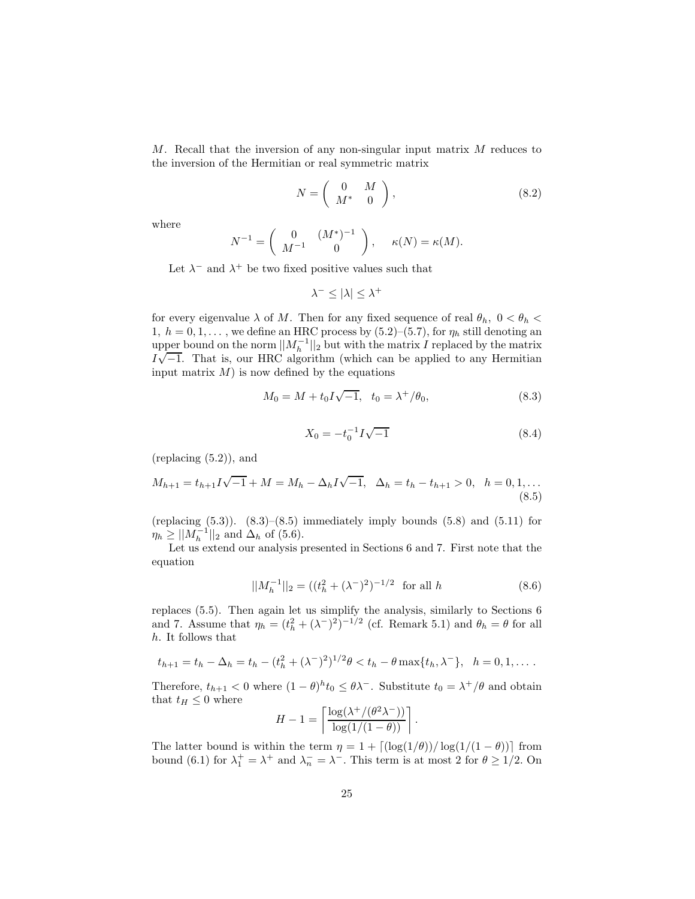M. Recall that the inversion of any non-singular input matrix M reduces to the inversion of the Hermitian or real symmetric matrix

$$
N = \left(\begin{array}{cc} 0 & M \\ M^* & 0 \end{array}\right),\tag{8.2}
$$

where

$$
N^{-1} = \begin{pmatrix} 0 & (M^*)^{-1} \\ M^{-1} & 0 \end{pmatrix}, \quad \kappa(N) = \kappa(M).
$$

Let  $\lambda^-$  and  $\lambda^+$  be two fixed positive values such that

$$
\lambda^- \leq |\lambda| \leq \lambda^+
$$

for every eigenvalue  $\lambda$  of M. Then for any fixed sequence of real  $\theta_h$ ,  $0 < \theta_h$ 1,  $h = 0, 1, \ldots$ , we define an HRC process by  $(5.2)$ – $(5.7)$ , for  $\eta_h$  still denoting an upper bound on the norm  $||M_h^{-1}||_2$  but with the matrix I replaced by the matrix upper bound on the norm  $||M_h||_2$  but with the matrix *I* replaced by the matrix  $I\sqrt{-1}$ . That is, our HRC algorithm (which can be applied to any Hermitian input matrix  $M$ ) is now defined by the equations

$$
M_0 = M + t_0 I \sqrt{-1}, \quad t_0 = \lambda^+ / \theta_0,\tag{8.3}
$$

$$
X_0 = -t_0^{-1}I\sqrt{-1}
$$
\n(8.4)

(replacing (5.2)), and

$$
M_{h+1} = t_{h+1}I\sqrt{-1} + M = M_h - \Delta_h I \sqrt{-1}, \quad \Delta_h = t_h - t_{h+1} > 0, \quad h = 0, 1, ...
$$
\n(8.5)

(replacing  $(5.3)$ ).  $(8.3)$ – $(8.5)$  immediately imply bounds  $(5.8)$  and  $(5.11)$  for  $\eta_h \ge ||M_h^{-1}||_2$  and  $\Delta_h$  of (5.6).

Let us extend our analysis presented in Sections 6 and 7. First note that the equation

$$
||M_h^{-1}||_2 = ((t_h^2 + (\lambda^-)^2)^{-1/2} \text{ for all } h
$$
 (8.6)

replaces (5.5). Then again let us simplify the analysis, similarly to Sections 6 and 7. Assume that  $\eta_h = (t_h^2 + (\lambda^-)^2)^{-1/2}$  (cf. Remark 5.1) and  $\theta_h = \theta$  for all h. It follows that

$$
t_{h+1} = t_h - \Delta_h = t_h - (t_h^2 + (\lambda^-)^2)^{1/2} \theta < t_h - \theta \max\{t_h, \lambda^-\}, \quad h = 0, 1, \dots
$$

Therefore,  $t_{h+1} < 0$  where  $(1 - \theta)^h t_0 \leq \theta \lambda^{-}$ . Substitute  $t_0 = \lambda^{+}/\theta$  and obtain that  $t_H \leq 0$  where

$$
H - 1 = \left\lceil \frac{\log(\lambda^+ / (\theta^2 \lambda^-))}{\log(1/(1 - \theta))} \right\rceil.
$$

The latter bound is within the term  $\eta = 1 + \left[ \frac{\log(1/\theta)}{\log(1/(1-\theta))} \right]$  from bound (6.1) for  $\lambda_1^+ = \lambda^+$  and  $\lambda_n^- = \lambda^-$ . This term is at most 2 for  $\theta \ge 1/2$ . On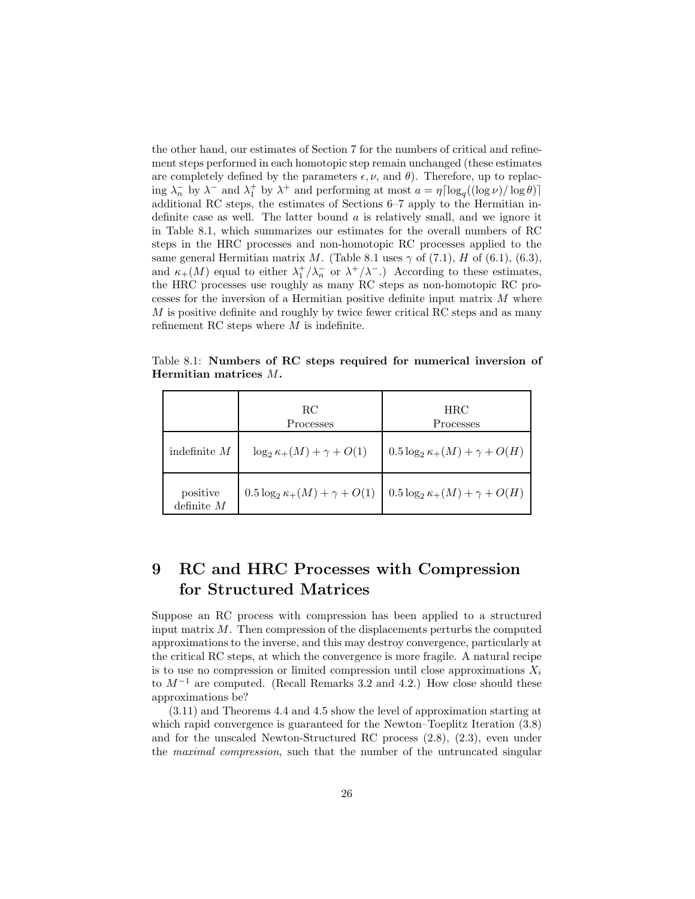the other hand, our estimates of Section 7 for the numbers of critical and refinement steps performed in each homotopic step remain unchanged (these estimates are completely defined by the parameters  $\epsilon, \nu$ , and  $\theta$ ). Therefore, up to replacing  $\lambda_n^-$  by  $\lambda^-$  and  $\lambda_1^+$  by  $\lambda^+$  and performing at most  $a = \eta \lceil \log_q((\log \nu)/\log \theta) \rceil$ additional RC steps, the estimates of Sections 6–7 apply to the Hermitian indefinite case as well. The latter bound  $\alpha$  is relatively small, and we ignore it in Table 8.1, which summarizes our estimates for the overall numbers of RC steps in the HRC processes and non-homotopic RC processes applied to the same general Hermitian matrix M. (Table 8.1 uses  $\gamma$  of (7.1), H of (6.1), (6.3), and  $\kappa_+(M)$  equal to either  $\lambda_1^+/\lambda_n^-$  or  $\lambda^+/\lambda^-$ .) According to these estimates, the HRC processes use roughly as many RC steps as non-homotopic RC processes for the inversion of a Hermitian positive definite input matrix  $M$  where  $M$  is positive definite and roughly by twice fewer critical RC steps and as many refinement RC steps where  $M$  is indefinite.

Table 8.1: **Numbers of RC steps required for numerical inversion of Hermitian matrices** M**.**

|                          | RC.<br>Processes                         | <b>HRC</b><br>Processes                  |
|--------------------------|------------------------------------------|------------------------------------------|
| indefinite $M$           | $\log_2 \kappa_+(M) + \gamma + O(1)$     | $0.5 \log_2 \kappa_+(M) + \gamma + O(H)$ |
| positive<br>definite $M$ | $0.5 \log_2 \kappa_+(M) + \gamma + O(1)$ | $0.5 \log_2 \kappa_+(M) + \gamma + O(H)$ |

# **9 RC and HRC Processes with Compression for Structured Matrices**

Suppose an RC process with compression has been applied to a structured input matrix  $M$ . Then compression of the displacements perturbs the computed approximations to the inverse, and this may destroy convergence, particularly at the critical RC steps, at which the convergence is more fragile. A natural recipe is to use no compression or limited compression until close approximations  $X_i$ to  $M^{-1}$  are computed. (Recall Remarks 3.2 and 4.2.) How close should these approximations be?

(3.11) and Theorems 4.4 and 4.5 show the level of approximation starting at which rapid convergence is guaranteed for the Newton–Toeplitz Iteration  $(3.8)$ and for the unscaled Newton-Structured RC process (2.8), (2.3), even under the *maximal compression*, such that the number of the untruncated singular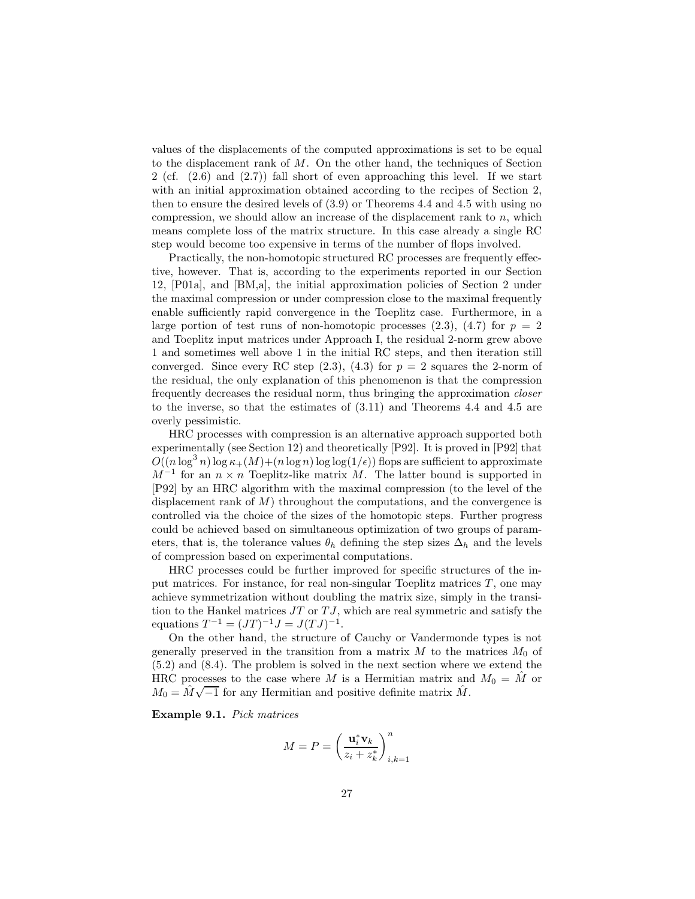values of the displacements of the computed approximations is set to be equal to the displacement rank of M. On the other hand, the techniques of Section 2 (cf.  $(2.6)$  and  $(2.7)$ ) fall short of even approaching this level. If we start with an initial approximation obtained according to the recipes of Section 2, then to ensure the desired levels of (3.9) or Theorems 4.4 and 4.5 with using no compression, we should allow an increase of the displacement rank to  $n$ , which means complete loss of the matrix structure. In this case already a single RC step would become too expensive in terms of the number of flops involved.

Practically, the non-homotopic structured RC processes are frequently effective, however. That is, according to the experiments reported in our Section 12, [P01a], and [BM,a], the initial approximation policies of Section 2 under the maximal compression or under compression close to the maximal frequently enable sufficiently rapid convergence in the Toeplitz case. Furthermore, in a large portion of test runs of non-homotopic processes  $(2.3)$ ,  $(4.7)$  for  $p = 2$ and Toeplitz input matrices under Approach I, the residual 2-norm grew above 1 and sometimes well above 1 in the initial RC steps, and then iteration still converged. Since every RC step  $(2.3)$ ,  $(4.3)$  for  $p = 2$  squares the 2-norm of the residual, the only explanation of this phenomenon is that the compression frequently decreases the residual norm, thus bringing the approximation *closer* to the inverse, so that the estimates of (3.11) and Theorems 4.4 and 4.5 are overly pessimistic.

HRC processes with compression is an alternative approach supported both experimentally (see Section 12) and theoretically [P92]. It is proved in [P92] that  $O((n \log^3 n) \log \kappa_+(M)+(n \log n) \log \log(1/\epsilon))$  flops are sufficient to approximate  $M^{-1}$  for an  $n \times n$  Toeplitz-like matrix M. The latter bound is supported in [P92] by an HRC algorithm with the maximal compression (to the level of the displacement rank of  $M$ ) throughout the computations, and the convergence is controlled via the choice of the sizes of the homotopic steps. Further progress could be achieved based on simultaneous optimization of two groups of parameters, that is, the tolerance values  $\theta_h$  defining the step sizes  $\Delta_h$  and the levels of compression based on experimental computations.

HRC processes could be further improved for specific structures of the input matrices. For instance, for real non-singular Toeplitz matrices  $T$ , one may achieve symmetrization without doubling the matrix size, simply in the transition to the Hankel matrices  $JT$  or  $TJ$ , which are real symmetric and satisfy the equations  $T^{-1} = (JT)^{-1}J = J(TJ)^{-1}$ .

On the other hand, the structure of Cauchy or Vandermonde types is not generally preserved in the transition from a matrix  $M$  to the matrices  $M_0$  of (5.2) and (8.4). The problem is solved in the next section where we extend the HRC processes to the case where M is a Hermitian matrix and  $M_0 = \tilde{M}$  or  $M_0 = \hat{M}\sqrt{-1}$  for any Hermitian and positive definite matrix  $\hat{M}$ .

**Example 9.1.** *Pick matrices*

$$
M = P = \left(\frac{\mathbf{u}_i^* \mathbf{v}_k}{z_i + z_k^*}\right)_{i,k=1}^n
$$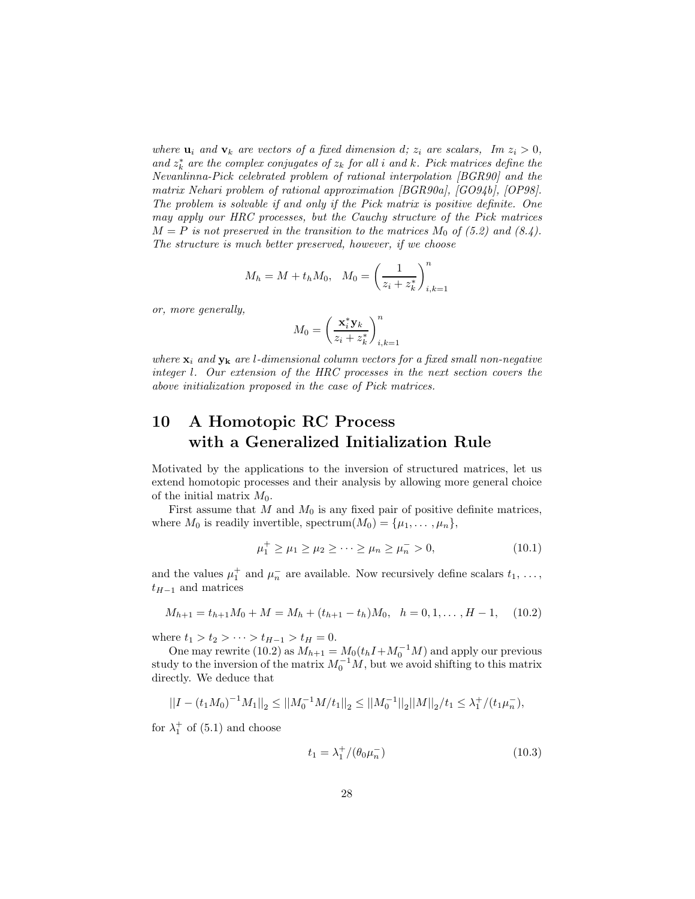*where*  $\mathbf{u}_i$  *and*  $\mathbf{v}_k$  *are vectors of a fixed dimension d;*  $z_i$  *are scalars, Im*  $z_i > 0$ *,* and  $z_k^*$  are the complex conjugates of  $z_k$  for all i and k. Pick matrices define the *Nevanlinna-Pick celebrated problem of rational interpolation [BGR90] and the matrix Nehari problem of rational approximation [BGR90a], [GO94b], [OP98]. The problem is solvable if and only if the Pick matrix is positive definite. One may apply our HRC processes, but the Cauchy structure of the Pick matrices*  $M = P$  is not preserved in the transition to the matrices  $M_0$  of (5.2) and (8.4). *The structure is much better preserved, however, if we choose*

$$
M_h = M + t_h M_0
$$
,  $M_0 = \left(\frac{1}{z_i + z_k^*}\right)_{i,k=1}^n$ 

*or, more generally,*

$$
M_0 = \left(\frac{\mathbf{x}_i^* \mathbf{y}_k}{z_i + z_k^*}\right)_{i,k=1}^n
$$

*where*  $\mathbf{x}_i$  *and*  $\mathbf{y}_k$  *are l*-dimensional column vectors for a fixed small non-negative *integer* l*. Our extension of the HRC processes in the next section covers the above initialization proposed in the case of Pick matrices.*

### **10 A Homotopic RC Process with a Generalized Initialization Rule**

Motivated by the applications to the inversion of structured matrices, let us extend homotopic processes and their analysis by allowing more general choice of the initial matrix  $M_0$ .

First assume that  $M$  and  $M_0$  is any fixed pair of positive definite matrices, where  $M_0$  is readily invertible, spectrum $(M_0) = {\mu_1, \ldots, \mu_n},$ 

$$
\mu_1^+ \ge \mu_1 \ge \mu_2 \ge \dots \ge \mu_n \ge \mu_n^- > 0,
$$
\n(10.1)

and the values  $\mu_1^+$  and  $\mu_n^-$  are available. Now recursively define scalars  $t_1, \ldots,$  $t_{H-1}$  and matrices

$$
M_{h+1} = t_{h+1}M_0 + M = M_h + (t_{h+1} - t_h)M_0, \quad h = 0, 1, ..., H - 1,
$$
 (10.2)

where  $t_1 > t_2 > \cdots > t_{H-1} > t_H = 0$ .

One may rewrite (10.2) as  $M_{h+1} = M_0(t_h I + M_0^{-1} M)$  and apply our previous study to the inversion of the matrix  $M_0^{-1}M$ , but we avoid shifting to this matrix directly. We deduce that

$$
||I - (t_1 M_0)^{-1} M_1||_2 \le ||M_0^{-1} M/t_1||_2 \le ||M_0^{-1}||_2 ||M||_2/t_1 \le \lambda_1^+ / (t_1 \mu_n^-),
$$

for  $\lambda_1^+$  of (5.1) and choose

$$
t_1 = \lambda_1^+ / (\theta_0 \mu_n^-) \tag{10.3}
$$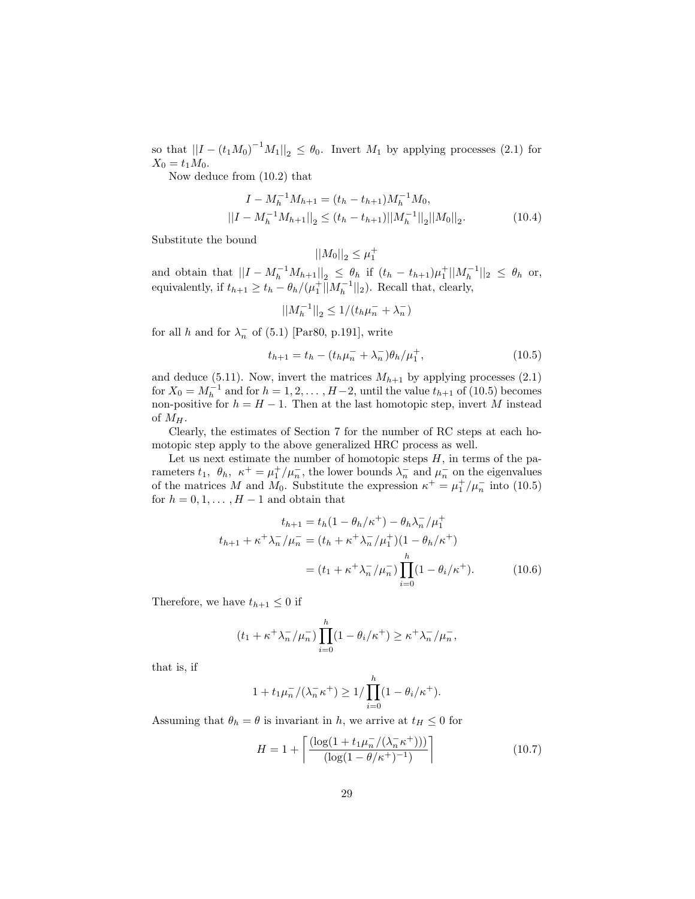so that  $||I - (t_1 M_0)^{-1} M_1||_2 \le \theta_0$ . Invert  $M_1$  by applying processes (2.1) for  $X_0 = t_1 M_0.$ 

Now deduce from (10.2) that

$$
I - M_h^{-1} M_{h+1} = (t_h - t_{h+1}) M_h^{-1} M_0,
$$
  

$$
||I - M_h^{-1} M_{h+1}||_2 \le (t_h - t_{h+1}) ||M_h^{-1}||_2 ||M_0||_2.
$$
 (10.4)

Substitute the bound

$$
\left|\left|M_{0}\right|\right|_{2}\leq\mu_{1}^{+}
$$

and obtain that  $||I - M_h^{-1}M_{h+1}||_2 \leq \theta_h$  if  $(t_h - t_{h+1})\mu_1^+||M_h^{-1}||_2 \leq \theta_h$  or, equivalently, if  $t_{h+1} \geq t_h - \theta_h/(\mu_1^+ || M_h^{-1} ||_2)$ . Recall that, clearly,

$$
||M_h^{-1}||_2 \le 1/(t_h \mu_h^{-} + \lambda_h^{-})
$$

for all h and for  $\lambda_n^-$  of (5.1) [Par80, p.191], write

$$
t_{h+1} = t_h - (t_h \mu_h^- + \lambda_h^-)\theta_h / \mu_1^+, \tag{10.5}
$$

and deduce (5.11). Now, invert the matrices  $M_{h+1}$  by applying processes (2.1) for  $X_0 = M_h^{-1}$  and for  $h = 1, 2, \ldots, H-2$ , until the value  $t_{h+1}$  of (10.5) becomes non-positive for  $h = H - 1$ . Then at the last homotopic step, invert M instead of  $M_H$ .

Clearly, the estimates of Section 7 for the number of RC steps at each homotopic step apply to the above generalized HRC process as well.

Let us next estimate the number of homotopic steps  $H$ , in terms of the parameters  $t_1$ ,  $\theta_h$ ,  $\kappa^+ = \mu_1^+ / \mu_n^-$ , the lower bounds  $\lambda_n^-$  and  $\mu_n^-$  on the eigenvalues of the matrices M and  $\tilde{M}_0$ . Substitute the expression  $\kappa^+ = \mu_1^+ / \mu_n^-$  into (10.5) for  $h = 0, 1, \ldots, H-1$  and obtain that

$$
t_{h+1} = t_h (1 - \theta_h/\kappa^+) - \theta_h \lambda_n^- / \mu_1^+
$$
  

$$
t_{h+1} + \kappa^+ \lambda_n^- / \mu_n^- = (t_h + \kappa^+ \lambda_n^- / \mu_1^+) (1 - \theta_h/\kappa^+)
$$
  

$$
= (t_1 + \kappa^+ \lambda_n^- / \mu_n^-) \prod_{i=0}^h (1 - \theta_i/\kappa^+).
$$
 (10.6)

Therefore, we have  $t_{h+1} \leq 0$  if

$$
(t_1 + \kappa^+ \lambda_n^- / \mu_n^-) \prod_{i=0}^h (1 - \theta_i / \kappa^+) \ge \kappa^+ \lambda_n^- / \mu_n^-,
$$

that is, if

$$
1 + t_1 \mu_n^- / (\lambda_n^- \kappa^+) \ge 1 / \prod_{i=0}^h (1 - \theta_i / \kappa^+).
$$

Assuming that  $\theta_h = \theta$  is invariant in h, we arrive at  $t_H \leq 0$  for

$$
H = 1 + \left[ \frac{(\log(1 + t_1 \mu_n^- / (\lambda_n^- \kappa^+)))}{(\log(1 - \theta/\kappa^+)^{-1})} \right]
$$
(10.7)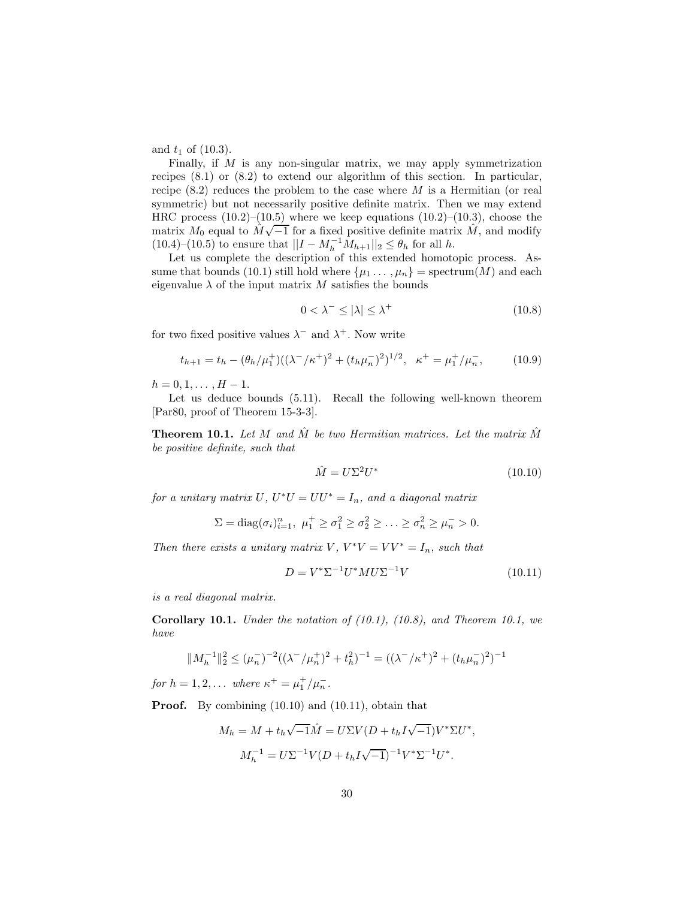and  $t_1$  of  $(10.3)$ .

Finally, if M is any non-singular matrix, we may apply symmetrization recipes (8.1) or (8.2) to extend our algorithm of this section. In particular, recipe  $(8.2)$  reduces the problem to the case where M is a Hermitian (or real symmetric) but not necessarily positive definite matrix. Then we may extend HRC process  $(10.2)$ – $(10.5)$  where we keep equations  $(10.2)$ – $(10.3)$ , choose the matrix  $M_0$  equal to  $\hat{M}\sqrt{-1}$  for a fixed positive definite matrix  $\hat{M}$ , and modify  $(10.4)$ – $(10.5)$  to ensure that  $||I - M_h^{-1}M_{h+1}||_2 \leq \theta_h$  for all h.

Let us complete the description of this extended homotopic process. Assume that bounds (10.1) still hold where  $\{\mu_1, \dots, \mu_n\}$  = spectrum(M) and each eigenvalue  $\lambda$  of the input matrix M satisfies the bounds

$$
0 < \lambda^- \le |\lambda| \le \lambda^+ \tag{10.8}
$$

for two fixed positive values  $\lambda^-$  and  $\lambda^+$ . Now write

$$
t_{h+1} = t_h - (\theta_h/\mu_1^+)((\lambda^-/\kappa^+)^2 + (t_h\mu_n^-)^2)^{1/2}, \ \ \kappa^+ = \mu_1^+/\mu_n^-, \tag{10.9}
$$

 $h = 0, 1, \ldots, H - 1.$ 

Let us deduce bounds (5.11). Recall the following well-known theorem [Par80, proof of Theorem 15-3-3].

**Theorem 10.1.** Let M and  $\tilde{M}$  be two Hermitian matrices. Let the matrix  $\tilde{M}$ *be positive definite, such that*

$$
\hat{M} = U\Sigma^2 U^* \tag{10.10}
$$

*for a unitary matrix*  $U, U^*U = UU^* = I_n$ *, and a diagonal matrix* 

$$
\Sigma = \text{diag}(\sigma_i)_{i=1}^n, \ \mu_1^+ \ge \sigma_1^2 \ge \sigma_2^2 \ge \ldots \ge \sigma_n^2 \ge \mu_n^- > 0.
$$

*Then there exists a unitary matrix*  $V, V^*V = VV^* = I_n$ , *such that* 

$$
D = V^* \Sigma^{-1} U^* M U \Sigma^{-1} V \tag{10.11}
$$

*is a real diagonal matrix.*

**Corollary 10.1.** *Under the notation of (10.1), (10.8), and Theorem 10.1, we have*

$$
||M_h^{-1}||_2^2 \le (\mu_h^{-})^{-2}((\lambda^-/\mu_h^{+})^2 + t_h^{2})^{-1} = ((\lambda^-/\kappa^+)^2 + (t_h\mu_h^{-})^2)^{-1}
$$

*for*  $h = 1, 2, \ldots$  *where*  $\kappa^+ = \mu_1^+ / \mu_n^-$ .

**Proof.** By combining  $(10.10)$  and  $(10.11)$ , obtain that

$$
M_h = M + t_h \sqrt{-1} \hat{M} = U \Sigma V (D + t_h I \sqrt{-1}) V^* \Sigma U^*,
$$
  

$$
M_h^{-1} = U \Sigma^{-1} V (D + t_h I \sqrt{-1})^{-1} V^* \Sigma^{-1} U^*.
$$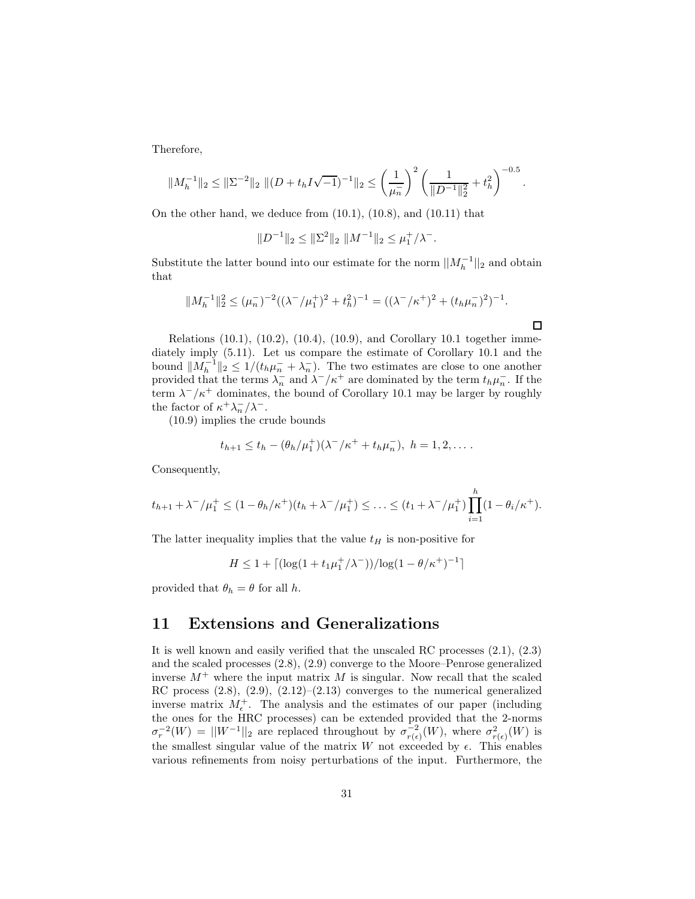Therefore,

$$
||M_h^{-1}||_2 \le ||\Sigma^{-2}||_2 ||(D + t_h I \sqrt{-1})^{-1}||_2 \le \left(\frac{1}{\mu_n}\right)^2 \left(\frac{1}{||D^{-1}||_2^2} + t_h^2\right)^{-0.5}.
$$

On the other hand, we deduce from (10.1), (10.8), and (10.11) that

 $||D^{-1}||_2 \le ||\Sigma^2||_2 ||M^{-1}||_2 \le \mu_1^+/\lambda^-.$ 

Substitute the latter bound into our estimate for the norm  $||M_h^{-1}||_2$  and obtain that

$$
||M_h^{-1}||_2^2 \le (\mu_h^{-})^{-2}((\lambda^-/\mu_1^+)^2 + t_h^2)^{-1} = ((\lambda^-/\kappa^+)^2 + (t_h\mu_h^{-})^2)^{-1}.
$$

 $\Box$ 

Relations  $(10.1)$ ,  $(10.2)$ ,  $(10.4)$ ,  $(10.9)$ , and Corollary 10.1 together immediately imply (5.11). Let us compare the estimate of Corollary 10.1 and the bound  $||M_h^{-1}||_2 \leq 1/(t_h\mu_h^{-} + \lambda_n^{-})$ . The two estimates are close to one another provided that the terms  $\lambda_n^-$  and  $\lambda^-/\kappa^+$  are dominated by the term  $t_h\mu_n^-$ . If the term  $\lambda^-/\kappa^+$  dominates, the bound of Corollary 10.1 may be larger by roughly the factor of  $\kappa^+ \lambda_n^- / \lambda^-$ .

(10.9) implies the crude bounds

$$
t_{h+1} \leq t_h - (\theta_h/\mu_1^+)(\lambda^-/\kappa^+ + t_h\mu_n^-), \ h = 1, 2, \dots.
$$

Consequently,

$$
t_{h+1} + \lambda^{-}/\mu_{1}^{+} \leq (1 - \theta_{h}/\kappa^{+})(t_{h} + \lambda^{-}/\mu_{1}^{+}) \leq \ldots \leq (t_{1} + \lambda^{-}/\mu_{1}^{+}) \prod_{i=1}^{h} (1 - \theta_{i}/\kappa^{+}).
$$

The latter inequality implies that the value  $t_H$  is non-positive for

$$
H \leq 1 + \lceil (\log(1 + t_1 \mu_1^+ / \lambda^-))/\log(1 - \theta/\kappa^+)^{-1} \rceil
$$

provided that  $\theta_h = \theta$  for all h.

### **11 Extensions and Generalizations**

It is well known and easily verified that the unscaled RC processes (2.1), (2.3) and the scaled processes (2.8), (2.9) converge to the Moore–Penrose generalized inverse  $M^+$  where the input matrix M is singular. Now recall that the scaled RC process  $(2.8)$ ,  $(2.9)$ ,  $(2.12)$ – $(2.13)$  converges to the numerical generalized inverse matrix  $M_{\epsilon}^+$ . The analysis and the estimates of our paper (including the ones for the HRC processes) can be extended provided that the 2-norms  $\sigma_r^{-2}(W) = ||W^{-1}||_2$  are replaced throughout by  $\sigma_{r(\epsilon)}^{-2}(W)$ , where  $\sigma_{r(\epsilon)}^2(W)$  is the smallest singular value of the matrix W not exceeded by  $\epsilon$ . This enables various refinements from noisy perturbations of the input. Furthermore, the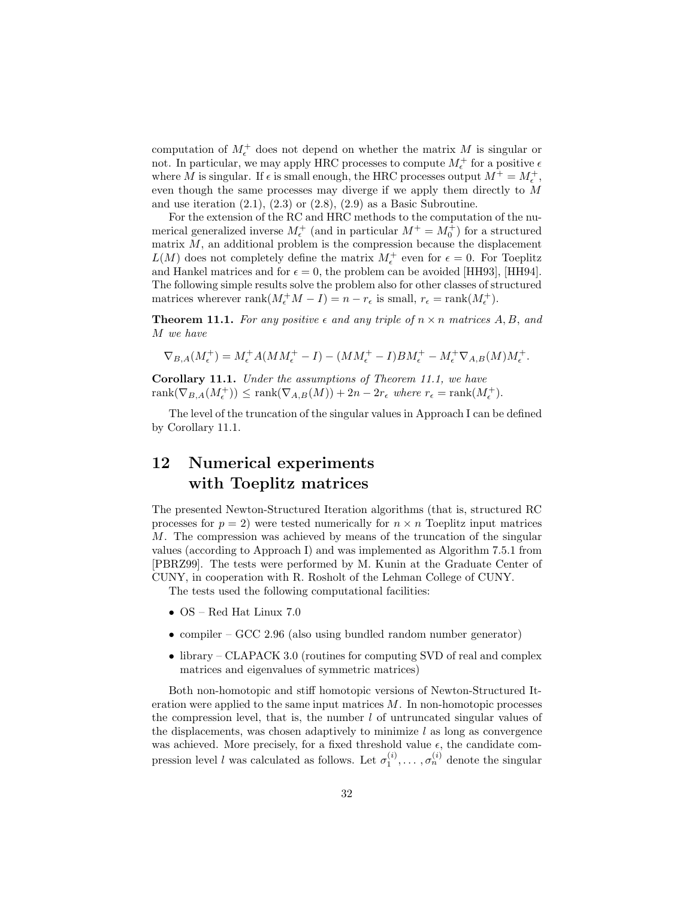computation of  $M_{\epsilon}^+$  does not depend on whether the matrix M is singular or not. In particular, we may apply HRC processes to compute  $M_{\epsilon}^+$  for a positive  $\epsilon$ where M is singular. If  $\epsilon$  is small enough, the HRC processes output  $M^+ = M_{\epsilon}^+$ , even though the same processes may diverge if we apply them directly to M and use iteration  $(2.1)$ ,  $(2.3)$  or  $(2.8)$ ,  $(2.9)$  as a Basic Subroutine.

For the extension of the RC and HRC methods to the computation of the numerical generalized inverse  $M_{\epsilon}^+$  (and in particular  $M^+ = M_0^+$ ) for a structured matrix  $M$ , an additional problem is the compression because the displacement  $L(M)$  does not completely define the matrix  $M_{\epsilon}^{+}$  even for  $\epsilon = 0$ . For Toeplitz and Hankel matrices and for  $\epsilon = 0$ , the problem can be avoided [HH93], [HH94]. The following simple results solve the problem also for other classes of structured matrices wherever rank $(M_{\epsilon}^+ M - I) = n - r_{\epsilon}$  is small,  $r_{\epsilon} = \text{rank}(M_{\epsilon}^+).$ 

**Theorem 11.1.** For any positive  $\epsilon$  and any triple of  $n \times n$  matrices A, B, and M *we have*

$$
\nabla_{B,A}(M_{\epsilon}^+)=M_{\epsilon}^+A(MM_{\epsilon}^+-I)-(MM_{\epsilon}^+-I)BM_{\epsilon}^+-M_{\epsilon}^+\nabla_{A,B}(M)M_{\epsilon}^+.
$$

**Corollary 11.1.** *Under the assumptions of Theorem 11.1, we have*  $rank(\nabla_{B,A}(M_{\epsilon}^+)) \leq rank(\nabla_{A,B}(M)) + 2n - 2r_{\epsilon}$  where  $r_{\epsilon} = rank(M_{\epsilon}^+).$ 

The level of the truncation of the singular values in Approach I can be defined by Corollary 11.1.

## **12 Numerical experiments with Toeplitz matrices**

The presented Newton-Structured Iteration algorithms (that is, structured RC processes for  $p = 2$ ) were tested numerically for  $n \times n$  Toeplitz input matrices M. The compression was achieved by means of the truncation of the singular values (according to Approach I) and was implemented as Algorithm 7.5.1 from [PBRZ99]. The tests were performed by M. Kunin at the Graduate Center of CUNY, in cooperation with R. Rosholt of the Lehman College of CUNY.

The tests used the following computational facilities:

- OS Red Hat Linux 7.0
- compiler GCC 2.96 (also using bundled random number generator)
- library CLAPACK 3.0 (routines for computing SVD of real and complex matrices and eigenvalues of symmetric matrices)

Both non-homotopic and stiff homotopic versions of Newton-Structured Iteration were applied to the same input matrices  $M$ . In non-homotopic processes the compression level, that is, the number  $l$  of untruncated singular values of the displacements, was chosen adaptively to minimize  $l$  as long as convergence was achieved. More precisely, for a fixed threshold value  $\epsilon$ , the candidate compression level l was calculated as follows. Let  $\sigma_1^{(i)}, \ldots, \sigma_n^{(i)}$  denote the singular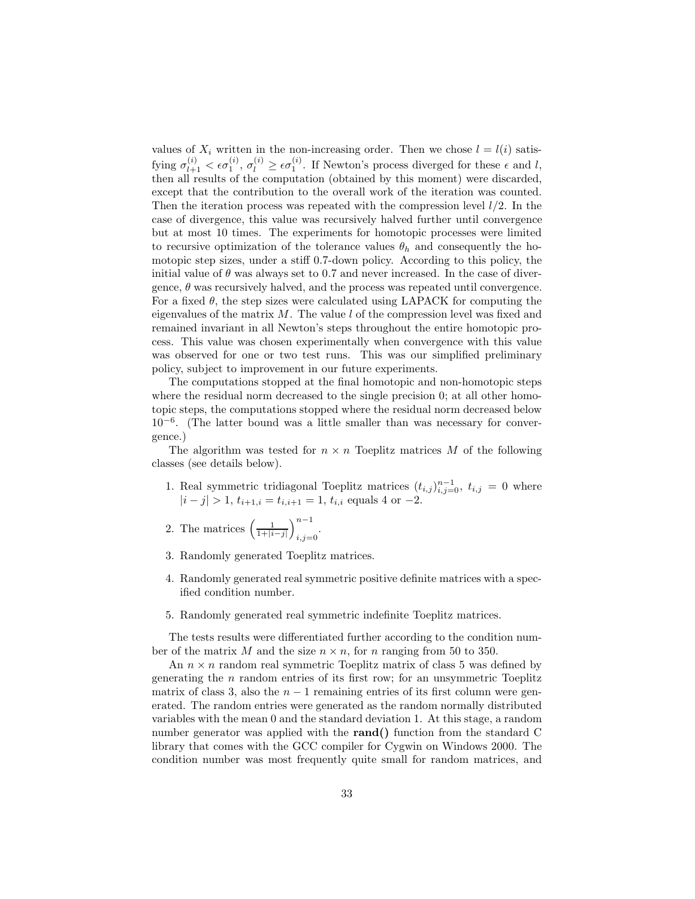values of  $X_i$  written in the non-increasing order. Then we chose  $l = l(i)$  satisfying  $\sigma_{l+1}^{(i)} < \epsilon \sigma_1^{(i)}$ ,  $\sigma_l^{(i)} \geq \epsilon \sigma_1^{(i)}$ . If Newton's process diverged for these  $\epsilon$  and l, then all results of the computation (obtained by this moment) were discarded, except that the contribution to the overall work of the iteration was counted. Then the iteration process was repeated with the compression level  $l/2$ . In the case of divergence, this value was recursively halved further until convergence but at most 10 times. The experiments for homotopic processes were limited to recursive optimization of the tolerance values  $\theta_h$  and consequently the homotopic step sizes, under a stiff 0.7-down policy. According to this policy, the initial value of  $\theta$  was always set to 0.7 and never increased. In the case of divergence,  $\theta$  was recursively halved, and the process was repeated until convergence. For a fixed  $\theta$ , the step sizes were calculated using LAPACK for computing the eigenvalues of the matrix  $M$ . The value l of the compression level was fixed and remained invariant in all Newton's steps throughout the entire homotopic process. This value was chosen experimentally when convergence with this value was observed for one or two test runs. This was our simplified preliminary policy, subject to improvement in our future experiments.

The computations stopped at the final homotopic and non-homotopic steps where the residual norm decreased to the single precision 0; at all other homotopic steps, the computations stopped where the residual norm decreased below  $10^{-6}$ . (The latter bound was a little smaller than was necessary for convergence.)

The algorithm was tested for  $n \times n$  Toeplitz matrices M of the following classes (see details below).

- 1. Real symmetric tridiagonal Toeplitz matrices  $(t_{i,j})_{i,j=0}^{n-1}$ ,  $t_{i,j} = 0$  where  $|i - j| > 1$ ,  $t_{i+1,i} = t_{i,i+1} = 1$ ,  $t_{i,i}$  equals 4 or -2.
- 2. The matrices  $\left(\frac{1}{1+|i-j|}\right)$  $\big)^{n-1}$  $i,j=0$ .
- 3. Randomly generated Toeplitz matrices.
- 4. Randomly generated real symmetric positive definite matrices with a specified condition number.
- 5. Randomly generated real symmetric indefinite Toeplitz matrices.

The tests results were differentiated further according to the condition number of the matrix M and the size  $n \times n$ , for n ranging from 50 to 350.

An  $n \times n$  random real symmetric Toeplitz matrix of class 5 was defined by generating the  $n$  random entries of its first row; for an unsymmetric Toeplitz matrix of class 3, also the  $n-1$  remaining entries of its first column were generated. The random entries were generated as the random normally distributed variables with the mean 0 and the standard deviation 1. At this stage, a random number generator was applied with the **rand()** function from the standard C library that comes with the GCC compiler for Cygwin on Windows 2000. The condition number was most frequently quite small for random matrices, and